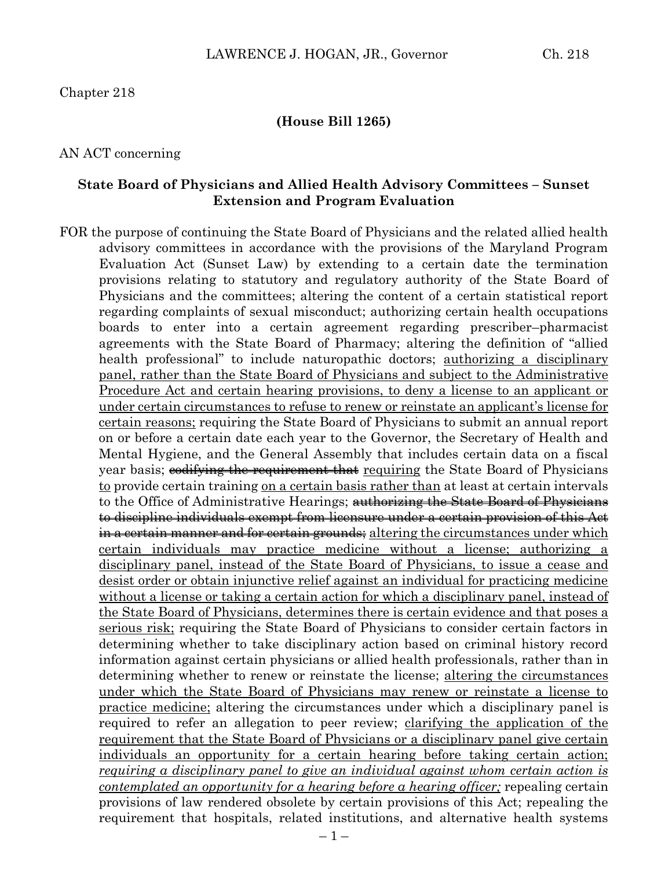#### **(House Bill 1265)**

#### AN ACT concerning

#### **State Board of Physicians and Allied Health Advisory Committees – Sunset Extension and Program Evaluation**

FOR the purpose of continuing the State Board of Physicians and the related allied health advisory committees in accordance with the provisions of the Maryland Program Evaluation Act (Sunset Law) by extending to a certain date the termination provisions relating to statutory and regulatory authority of the State Board of Physicians and the committees; altering the content of a certain statistical report regarding complaints of sexual misconduct; authorizing certain health occupations boards to enter into a certain agreement regarding prescriber–pharmacist agreements with the State Board of Pharmacy; altering the definition of "allied health professional" to include naturopathic doctors; <u>authorizing a disciplinary</u> panel, rather than the State Board of Physicians and subject to the Administrative Procedure Act and certain hearing provisions, to deny a license to an applicant or under certain circumstances to refuse to renew or reinstate an applicant's license for certain reasons; requiring the State Board of Physicians to submit an annual report on or before a certain date each year to the Governor, the Secretary of Health and Mental Hygiene, and the General Assembly that includes certain data on a fiscal year basis; codifying the requirement that requiring the State Board of Physicians to provide certain training on a certain basis rather than at least at certain intervals to the Office of Administrative Hearings; authorizing the State Board of Physicians to discipline individuals exempt from licensure under a certain provision of this Act <del>in a certain manner and for certain grounds;</del> altering the circumstances under which certain individuals may practice medicine without a license; authorizing a disciplinary panel, instead of the State Board of Physicians, to issue a cease and desist order or obtain injunctive relief against an individual for practicing medicine without a license or taking a certain action for which a disciplinary panel, instead of the State Board of Physicians, determines there is certain evidence and that poses a serious risk; requiring the State Board of Physicians to consider certain factors in determining whether to take disciplinary action based on criminal history record information against certain physicians or allied health professionals, rather than in determining whether to renew or reinstate the license; altering the circumstances under which the State Board of Physicians may renew or reinstate a license to practice medicine; altering the circumstances under which a disciplinary panel is required to refer an allegation to peer review; clarifying the application of the requirement that the State Board of Physicians or a disciplinary panel give certain individuals an opportunity for a certain hearing before taking certain action; *<u>requiring a disciplinary panel to give an individual against whom certain action is*</u> *contemplated an opportunity for a hearing before a hearing officer;* repealing certain provisions of law rendered obsolete by certain provisions of this Act; repealing the requirement that hospitals, related institutions, and alternative health systems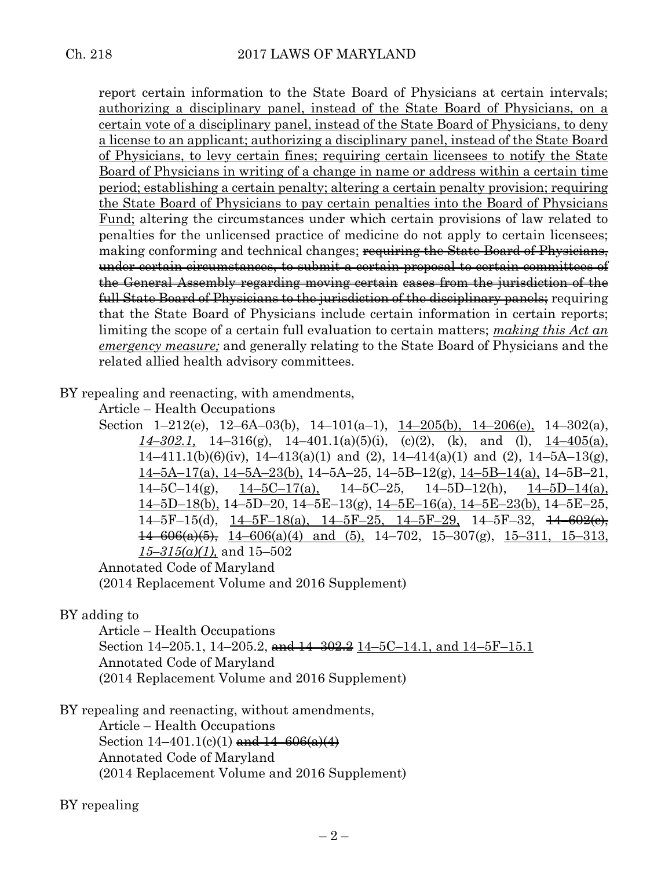report certain information to the State Board of Physicians at certain intervals; authorizing a disciplinary panel, instead of the State Board of Physicians, on a certain vote of a disciplinary panel, instead of the State Board of Physicians, to deny a license to an applicant; authorizing a disciplinary panel, instead of the State Board of Physicians, to levy certain fines; requiring certain licensees to notify the State Board of Physicians in writing of a change in name or address within a certain time period; establishing a certain penalty; altering a certain penalty provision; requiring the State Board of Physicians to pay certain penalties into the Board of Physicians Fund; altering the circumstances under which certain provisions of law related to penalties for the unlicensed practice of medicine do not apply to certain licensees; making conforming and technical changes; requiring the State Board of Physicians, under certain circumstances, to submit a certain proposal to certain committees of the General Assembly regarding moving certain cases from the jurisdiction of the full State Board of Physicians to the jurisdiction of the disciplinary panels; requiring that the State Board of Physicians include certain information in certain reports; limiting the scope of a certain full evaluation to certain matters; *making this Act an emergency measure;* and generally relating to the State Board of Physicians and the related allied health advisory committees.

BY repealing and reenacting, with amendments,

Article – Health Occupations

Section 1–212(e), 12–6A–03(b), 14–101(a–1),  $14$ –205(b), 14–206(e), 14–302(a), *14–302.1,* 14–316(g), 14–401.1(a)(5)(i), (c)(2), (k), and (l), 14–405(a),  $14-411.1(b)(6)(iv)$ ,  $14-413(a)(1)$  and  $(2)$ ,  $14-414(a)(1)$  and  $(2)$ ,  $14-5A-13(g)$ , 14–5A–17(a), 14–5A–23(b), 14–5A–25, 14–5B–12(g), 14–5B–14(a), 14–5B–21,  $14-5C-14(g)$ ,  $14-5C-17(g)$ ,  $14-5C-25$ ,  $14-5D-12(h)$ ,  $14-5D-14(g)$ ,  $14-5D-18(b)$ ,  $14-5D-20$ ,  $14-5E-13(g)$ ,  $14-5E-16(g)$ ,  $14-5E-23(b)$ ,  $14-5E-25$ , 14–5F–15(d),  $14$ –5F–18(a),  $14$ –5F–25,  $14$ –5F–29,  $14$ –5F–32,  $14$ –602(e),  $14-606(a)(5)$ ,  $14-606(a)(4)$  and (5),  $14-702$ ,  $15-307(g)$ ,  $15-311$ ,  $15-313$ , *15–315(a)(1),* and 15–502

Annotated Code of Maryland (2014 Replacement Volume and 2016 Supplement)

BY adding to

Article – Health Occupations Section 14–205.1, 14–205.2,  $\frac{1.14-302.2}{14-302.2}$  14–5C–14.1, and 14–5F–15.1 Annotated Code of Maryland (2014 Replacement Volume and 2016 Supplement)

BY repealing and reenacting, without amendments,

Article – Health Occupations

Section  $14-401.1(c)(1)$  and  $14-606(a)(4)$ Annotated Code of Maryland (2014 Replacement Volume and 2016 Supplement)

BY repealing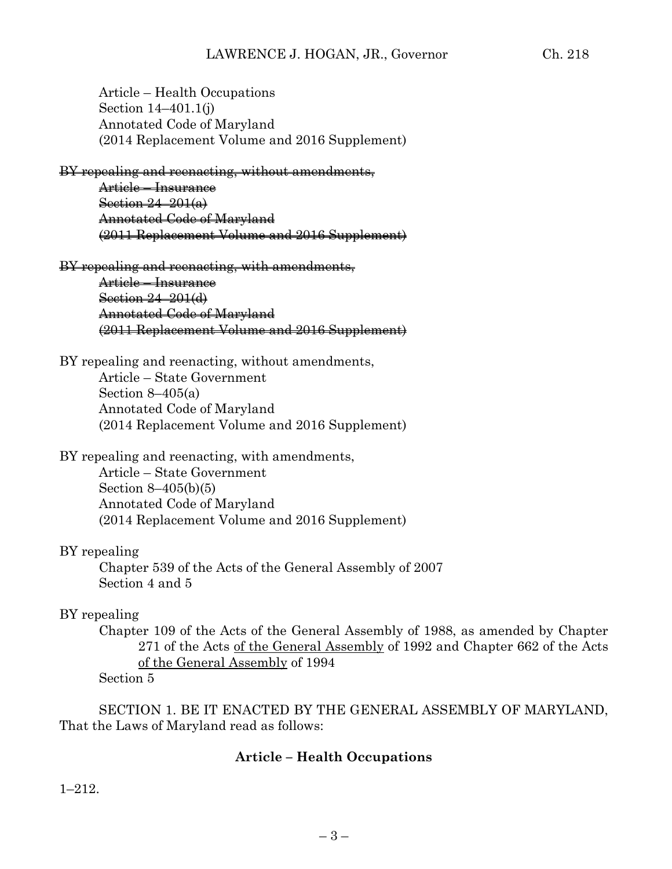Article – Health Occupations Section 14–401.1(j) Annotated Code of Maryland (2014 Replacement Volume and 2016 Supplement)

BY repealing and reenacting, without amendments,

Article – Insurance Section 24–201(a) Annotated Code of Maryland (2011 Replacement Volume and 2016 Supplement)

#### BY repealing and reenacting, with amendments,

Article – Insurance Section 24–201(d) Annotated Code of Maryland (2011 Replacement Volume and 2016 Supplement)

BY repealing and reenacting, without amendments, Article – State Government Section  $8-405(a)$ Annotated Code of Maryland (2014 Replacement Volume and 2016 Supplement)

## BY repealing and reenacting, with amendments,

Article – State Government Section 8–405(b)(5) Annotated Code of Maryland (2014 Replacement Volume and 2016 Supplement)

## BY repealing

Chapter 539 of the Acts of the General Assembly of 2007 Section 4 and 5

#### BY repealing

Chapter 109 of the Acts of the General Assembly of 1988, as amended by Chapter 271 of the Acts of the General Assembly of 1992 and Chapter 662 of the Acts of the General Assembly of 1994

Section 5

SECTION 1. BE IT ENACTED BY THE GENERAL ASSEMBLY OF MARYLAND, That the Laws of Maryland read as follows:

## **Article – Health Occupations**

1–212.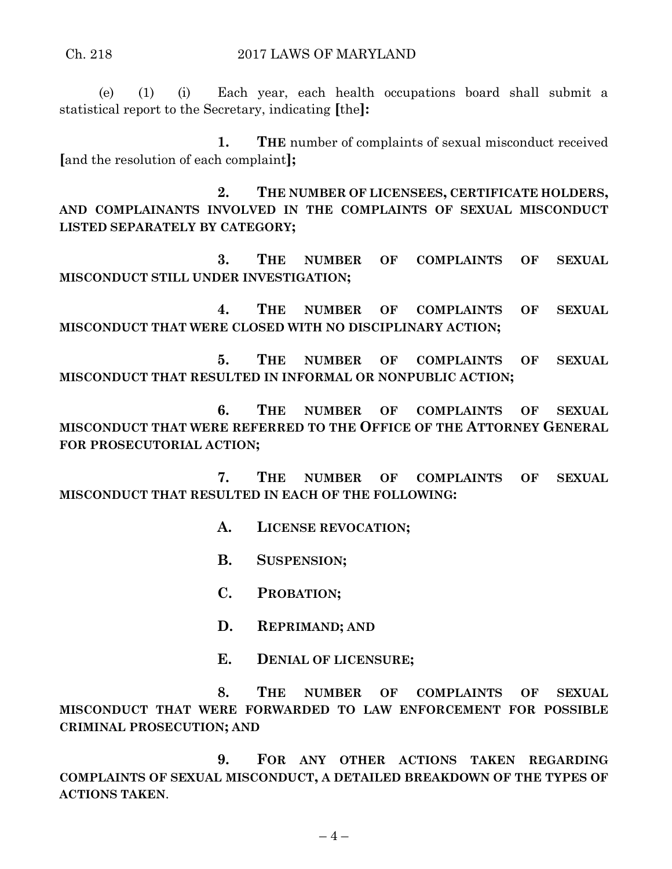(e) (1) (i) Each year, each health occupations board shall submit a statistical report to the Secretary, indicating **[**the**]:**

**1. THE** number of complaints of sexual misconduct received **[**and the resolution of each complaint**];**

**2. THE NUMBER OF LICENSEES, CERTIFICATE HOLDERS, AND COMPLAINANTS INVOLVED IN THE COMPLAINTS OF SEXUAL MISCONDUCT LISTED SEPARATELY BY CATEGORY;**

**3. THE NUMBER OF COMPLAINTS OF SEXUAL MISCONDUCT STILL UNDER INVESTIGATION;**

**4. THE NUMBER OF COMPLAINTS OF SEXUAL MISCONDUCT THAT WERE CLOSED WITH NO DISCIPLINARY ACTION;**

**5. THE NUMBER OF COMPLAINTS OF SEXUAL MISCONDUCT THAT RESULTED IN INFORMAL OR NONPUBLIC ACTION;**

**6. THE NUMBER OF COMPLAINTS OF SEXUAL MISCONDUCT THAT WERE REFERRED TO THE OFFICE OF THE ATTORNEY GENERAL FOR PROSECUTORIAL ACTION;**

**7. THE NUMBER OF COMPLAINTS OF SEXUAL MISCONDUCT THAT RESULTED IN EACH OF THE FOLLOWING:**

- **A. LICENSE REVOCATION;**
- **B. SUSPENSION;**
- **C. PROBATION;**
- **D. REPRIMAND; AND**
- **E. DENIAL OF LICENSURE;**

**8. THE NUMBER OF COMPLAINTS OF SEXUAL MISCONDUCT THAT WERE FORWARDED TO LAW ENFORCEMENT FOR POSSIBLE CRIMINAL PROSECUTION; AND**

**9. FOR ANY OTHER ACTIONS TAKEN REGARDING COMPLAINTS OF SEXUAL MISCONDUCT, A DETAILED BREAKDOWN OF THE TYPES OF ACTIONS TAKEN**.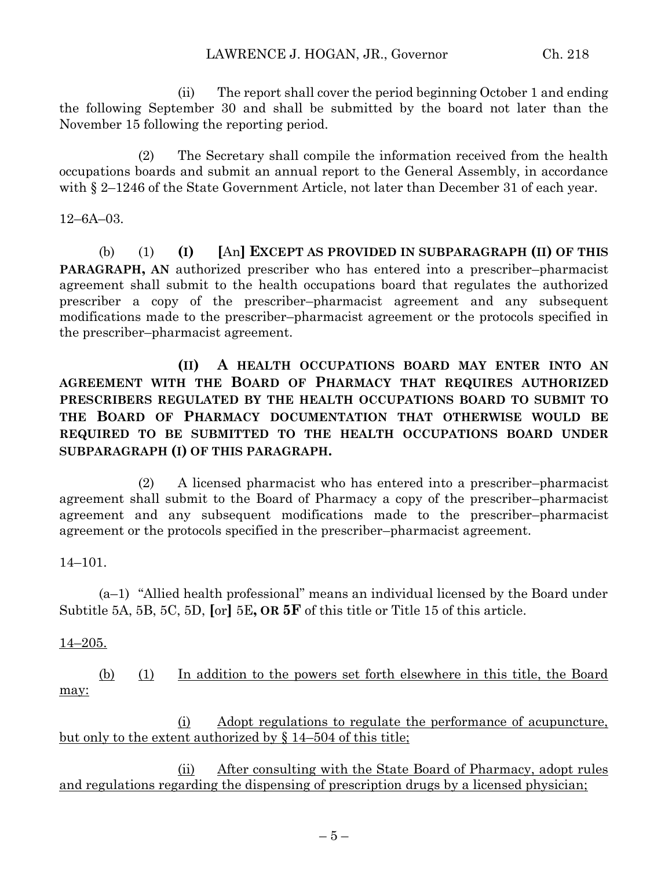(ii) The report shall cover the period beginning October 1 and ending the following September 30 and shall be submitted by the board not later than the November 15 following the reporting period.

(2) The Secretary shall compile the information received from the health occupations boards and submit an annual report to the General Assembly, in accordance with  $\S 2-1246$  of the State Government Article, not later than December 31 of each year.

12–6A–03.

(b) (1) **(I) [**An**] EXCEPT AS PROVIDED IN SUBPARAGRAPH (II) OF THIS PARAGRAPH, AN** authorized prescriber who has entered into a prescriber–pharmacist agreement shall submit to the health occupations board that regulates the authorized prescriber a copy of the prescriber–pharmacist agreement and any subsequent modifications made to the prescriber–pharmacist agreement or the protocols specified in the prescriber–pharmacist agreement.

**(II) A HEALTH OCCUPATIONS BOARD MAY ENTER INTO AN AGREEMENT WITH THE BOARD OF PHARMACY THAT REQUIRES AUTHORIZED PRESCRIBERS REGULATED BY THE HEALTH OCCUPATIONS BOARD TO SUBMIT TO THE BOARD OF PHARMACY DOCUMENTATION THAT OTHERWISE WOULD BE REQUIRED TO BE SUBMITTED TO THE HEALTH OCCUPATIONS BOARD UNDER SUBPARAGRAPH (I) OF THIS PARAGRAPH.**

(2) A licensed pharmacist who has entered into a prescriber–pharmacist agreement shall submit to the Board of Pharmacy a copy of the prescriber–pharmacist agreement and any subsequent modifications made to the prescriber–pharmacist agreement or the protocols specified in the prescriber–pharmacist agreement.

14–101.

(a–1) "Allied health professional" means an individual licensed by the Board under Subtitle 5A, 5B, 5C, 5D, **[**or**]** 5E**, OR 5F** of this title or Title 15 of this article.

## 14–205.

(b) (1) In addition to the powers set forth elsewhere in this title, the Board may:

(i) Adopt regulations to regulate the performance of acupuncture, but only to the extent authorized by § 14–504 of this title;

(ii) After consulting with the State Board of Pharmacy, adopt rules and regulations regarding the dispensing of prescription drugs by a licensed physician;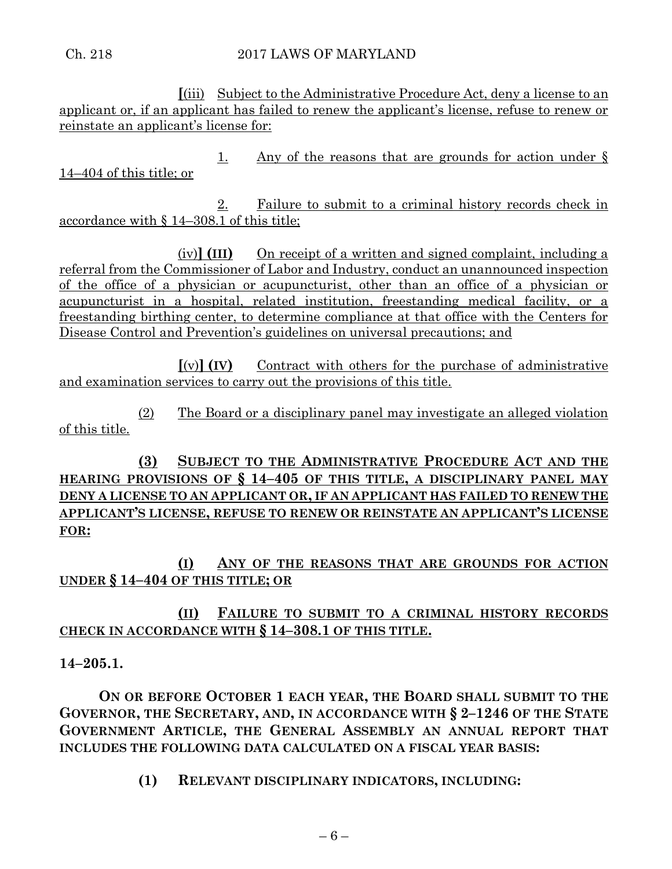Ch. 218 2017 LAWS OF MARYLAND

**[**(iii) Subject to the Administrative Procedure Act, deny a license to an applicant or, if an applicant has failed to renew the applicant's license, refuse to renew or reinstate an applicant's license for:

1. Any of the reasons that are grounds for action under § 14–404 of this title; or

2. Failure to submit to a criminal history records check in accordance with § 14–308.1 of this title;

(iv)**] (III)** On receipt of a written and signed complaint, including a referral from the Commissioner of Labor and Industry, conduct an unannounced inspection of the office of a physician or acupuncturist, other than an office of a physician or acupuncturist in a hospital, related institution, freestanding medical facility, or a freestanding birthing center, to determine compliance at that office with the Centers for Disease Control and Prevention's guidelines on universal precautions; and

**[**(v)**] (IV)** Contract with others for the purchase of administrative and examination services to carry out the provisions of this title.

(2) The Board or a disciplinary panel may investigate an alleged violation of this title.

**(3) SUBJECT TO THE ADMINISTRATIVE PROCEDURE ACT AND THE HEARING PROVISIONS OF § 14–405 OF THIS TITLE, A DISCIPLINARY PANEL MAY DENY A LICENSE TO AN APPLICANT OR, IF AN APPLICANT HAS FAILED TO RENEW THE APPLICANT'S LICENSE, REFUSE TO RENEW OR REINSTATE AN APPLICANT'S LICENSE FOR:**

**(I) ANY OF THE REASONS THAT ARE GROUNDS FOR ACTION UNDER § 14–404 OF THIS TITLE; OR**

**(II) FAILURE TO SUBMIT TO A CRIMINAL HISTORY RECORDS CHECK IN ACCORDANCE WITH § 14–308.1 OF THIS TITLE.**

**14–205.1.**

**ON OR BEFORE OCTOBER 1 EACH YEAR, THE BOARD SHALL SUBMIT TO THE GOVERNOR, THE SECRETARY, AND, IN ACCORDANCE WITH § 2–1246 OF THE STATE GOVERNMENT ARTICLE, THE GENERAL ASSEMBLY AN ANNUAL REPORT THAT INCLUDES THE FOLLOWING DATA CALCULATED ON A FISCAL YEAR BASIS:**

**(1) RELEVANT DISCIPLINARY INDICATORS, INCLUDING:**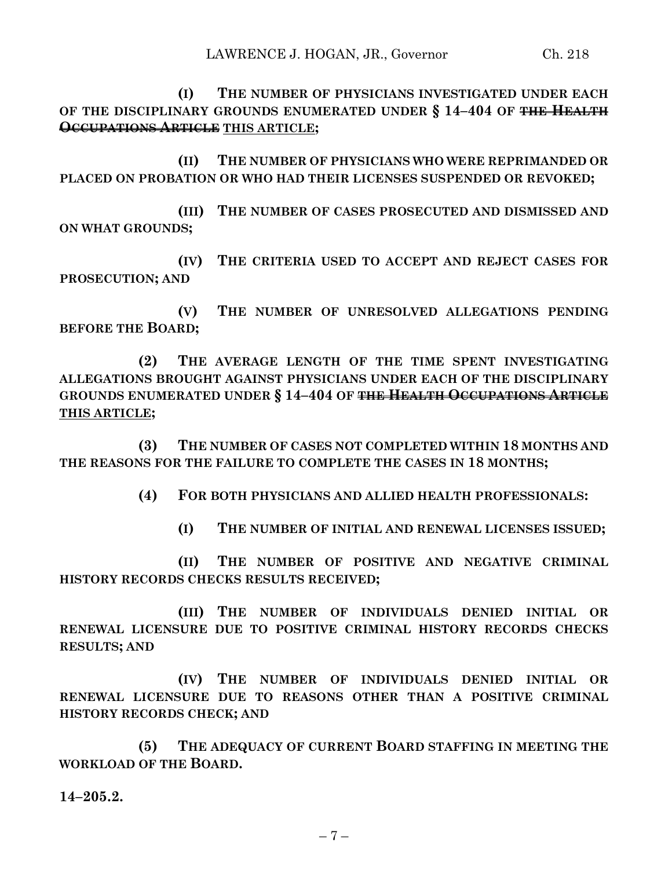**(I) THE NUMBER OF PHYSICIANS INVESTIGATED UNDER EACH OF THE DISCIPLINARY GROUNDS ENUMERATED UNDER § 14–404 OF THE HEALTH OCCUPATIONS ARTICLE THIS ARTICLE;**

**(II) THE NUMBER OF PHYSICIANS WHO WERE REPRIMANDED OR PLACED ON PROBATION OR WHO HAD THEIR LICENSES SUSPENDED OR REVOKED;**

**(III) THE NUMBER OF CASES PROSECUTED AND DISMISSED AND ON WHAT GROUNDS;**

**(IV) THE CRITERIA USED TO ACCEPT AND REJECT CASES FOR PROSECUTION; AND**

**(V) THE NUMBER OF UNRESOLVED ALLEGATIONS PENDING BEFORE THE BOARD;**

**(2) THE AVERAGE LENGTH OF THE TIME SPENT INVESTIGATING ALLEGATIONS BROUGHT AGAINST PHYSICIANS UNDER EACH OF THE DISCIPLINARY GROUNDS ENUMERATED UNDER § 14–404 OF THE HEALTH OCCUPATIONS ARTICLE THIS ARTICLE;**

**(3) THE NUMBER OF CASES NOT COMPLETED WITHIN 18 MONTHS AND THE REASONS FOR THE FAILURE TO COMPLETE THE CASES IN 18 MONTHS;**

**(4) FOR BOTH PHYSICIANS AND ALLIED HEALTH PROFESSIONALS:**

**(I) THE NUMBER OF INITIAL AND RENEWAL LICENSES ISSUED;**

**(II) THE NUMBER OF POSITIVE AND NEGATIVE CRIMINAL HISTORY RECORDS CHECKS RESULTS RECEIVED;**

**(III) THE NUMBER OF INDIVIDUALS DENIED INITIAL OR RENEWAL LICENSURE DUE TO POSITIVE CRIMINAL HISTORY RECORDS CHECKS RESULTS; AND** 

**(IV) THE NUMBER OF INDIVIDUALS DENIED INITIAL OR RENEWAL LICENSURE DUE TO REASONS OTHER THAN A POSITIVE CRIMINAL HISTORY RECORDS CHECK; AND** 

**(5) THE ADEQUACY OF CURRENT BOARD STAFFING IN MEETING THE WORKLOAD OF THE BOARD.**

**14–205.2.**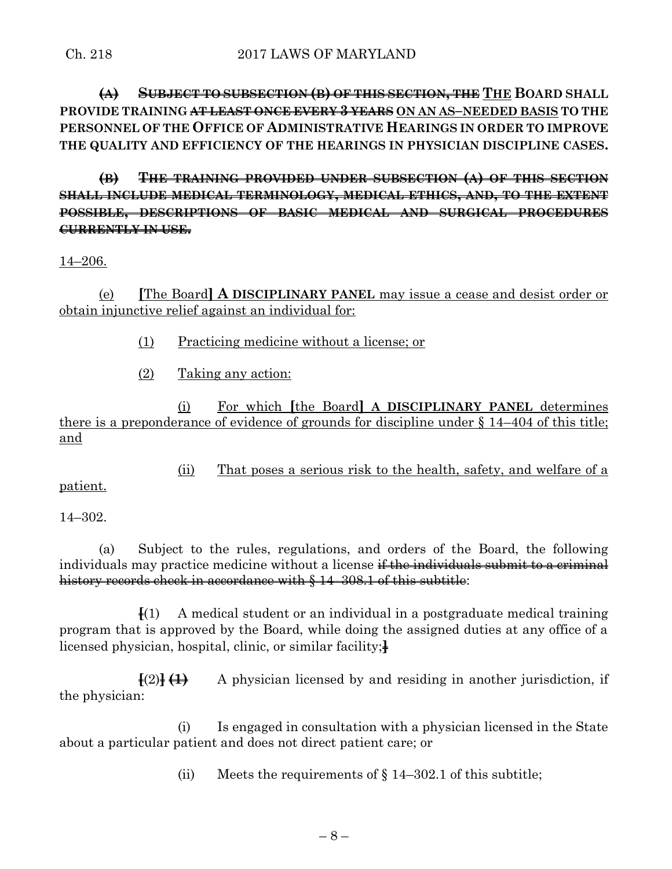**(A) SUBJECT TO SUBSECTION (B) OF THIS SECTION, THE THE BOARD SHALL PROVIDE TRAINING AT LEAST ONCE EVERY 3 YEARS ON AN AS–NEEDED BASIS TO THE PERSONNEL OF THE OFFICE OF ADMINISTRATIVE HEARINGS IN ORDER TO IMPROVE THE QUALITY AND EFFICIENCY OF THE HEARINGS IN PHYSICIAN DISCIPLINE CASES.**

**(B) THE TRAINING PROVIDED UNDER SUBSECTION (A) OF THIS SECTION SHALL INCLUDE MEDICAL TERMINOLOGY, MEDICAL ETHICS, AND, TO THE EXTENT POSSIBLE, DESCRIPTIONS OF BASIC MEDICAL AND SURGICAL PROCEDURES CURRENTLY IN USE.**

14–206.

(e) **[**The Board**] A DISCIPLINARY PANEL** may issue a cease and desist order or obtain injunctive relief against an individual for:

- (1) Practicing medicine without a license; or
- (2) Taking any action:

(i) For which **[**the Board**] A DISCIPLINARY PANEL** determines there is a preponderance of evidence of grounds for discipline under § 14–404 of this title; and

(ii) That poses a serious risk to the health, safety, and welfare of a

patient.

14–302.

(a) Subject to the rules, regulations, and orders of the Board, the following individuals may practice medicine without a license if the individuals submit to a criminal history records check in accordance with § 14–308.1 of this subtitle:

**[**(1) A medical student or an individual in a postgraduate medical training program that is approved by the Board, while doing the assigned duties at any office of a licensed physician, hospital, clinic, or similar facility;**]**

**[**(2)**] (1)** A physician licensed by and residing in another jurisdiction, if the physician:

(i) Is engaged in consultation with a physician licensed in the State about a particular patient and does not direct patient care; or

(ii) Meets the requirements of  $\S 14-302.1$  of this subtitle;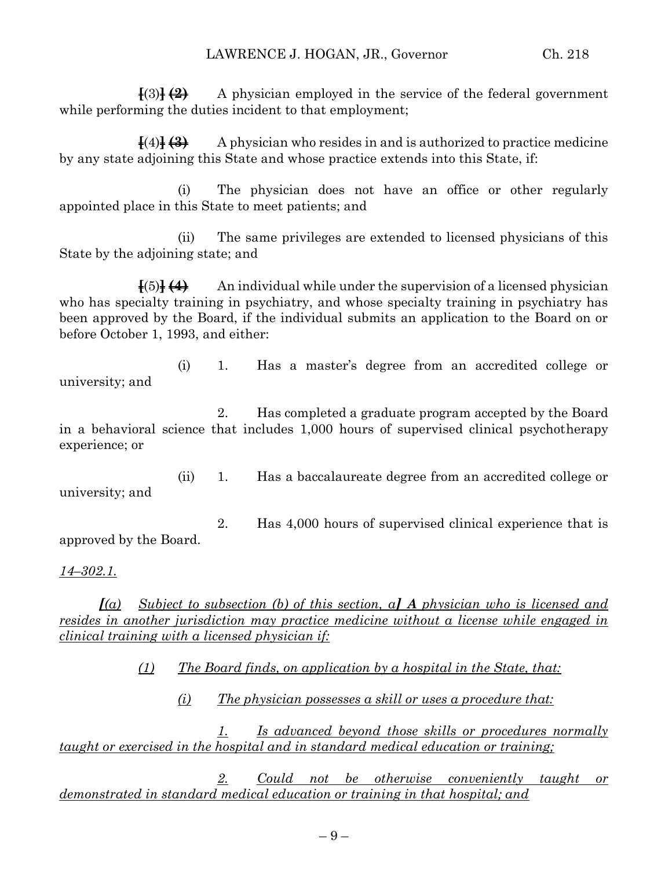**[**(3)**] (2)** A physician employed in the service of the federal government while performing the duties incident to that employment;

**[**(4)**] (3)** A physician who resides in and is authorized to practice medicine by any state adjoining this State and whose practice extends into this State, if:

(i) The physician does not have an office or other regularly appointed place in this State to meet patients; and

(ii) The same privileges are extended to licensed physicians of this State by the adjoining state; and

**[**(5)**] (4)** An individual while under the supervision of a licensed physician who has specialty training in psychiatry, and whose specialty training in psychiatry has been approved by the Board, if the individual submits an application to the Board on or before October 1, 1993, and either:

(i) 1. Has a master's degree from an accredited college or university; and

2. Has completed a graduate program accepted by the Board in a behavioral science that includes 1,000 hours of supervised clinical psychotherapy experience; or

(ii) 1. Has a baccalaureate degree from an accredited college or university; and

2. Has 4,000 hours of supervised clinical experience that is approved by the Board.

*14–302.1.*

*[(a) Subject to subsection (b) of this section, a] A physician who is licensed and resides in another jurisdiction may practice medicine without a license while engaged in clinical training with a licensed physician if:*

*(1) The Board finds, on application by a hospital in the State, that:*

*(i) The physician possesses a skill or uses a procedure that:*

*1. Is advanced beyond those skills or procedures normally taught or exercised in the hospital and in standard medical education or training;*

*2. Could not be otherwise conveniently taught or demonstrated in standard medical education or training in that hospital; and*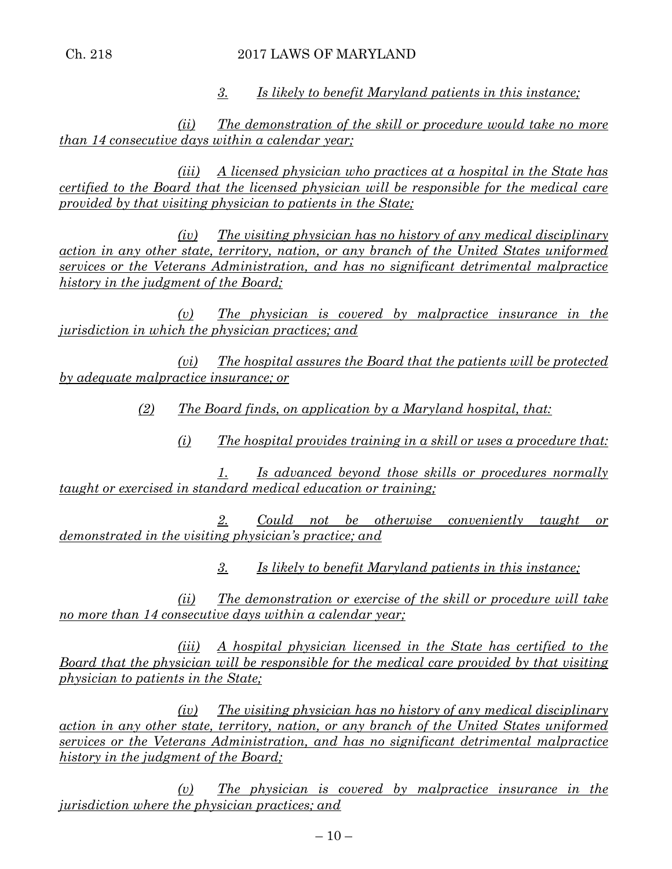## Ch. 218 2017 LAWS OF MARYLAND

*3. Is likely to benefit Maryland patients in this instance;*

*(ii) The demonstration of the skill or procedure would take no more than 14 consecutive days within a calendar year;*

*(iii) A licensed physician who practices at a hospital in the State has certified to the Board that the licensed physician will be responsible for the medical care provided by that visiting physician to patients in the State;*

*(iv) The visiting physician has no history of any medical disciplinary action in any other state, territory, nation, or any branch of the United States uniformed services or the Veterans Administration, and has no significant detrimental malpractice history in the judgment of the Board;*

*(v) The physician is covered by malpractice insurance in the jurisdiction in which the physician practices; and*

*(vi) The hospital assures the Board that the patients will be protected by adequate malpractice insurance; or*

*(2) The Board finds, on application by a Maryland hospital, that:*

*(i) The hospital provides training in a skill or uses a procedure that:*

*1. Is advanced beyond those skills or procedures normally taught or exercised in standard medical education or training;*

*2. Could not be otherwise conveniently taught or demonstrated in the visiting physician's practice; and*

*3. Is likely to benefit Maryland patients in this instance;*

*(ii) The demonstration or exercise of the skill or procedure will take no more than 14 consecutive days within a calendar year;*

*(iii) A hospital physician licensed in the State has certified to the Board that the physician will be responsible for the medical care provided by that visiting physician to patients in the State;*

*(iv) The visiting physician has no history of any medical disciplinary action in any other state, territory, nation, or any branch of the United States uniformed services or the Veterans Administration, and has no significant detrimental malpractice history in the judgment of the Board;*

*(v) The physician is covered by malpractice insurance in the jurisdiction where the physician practices; and*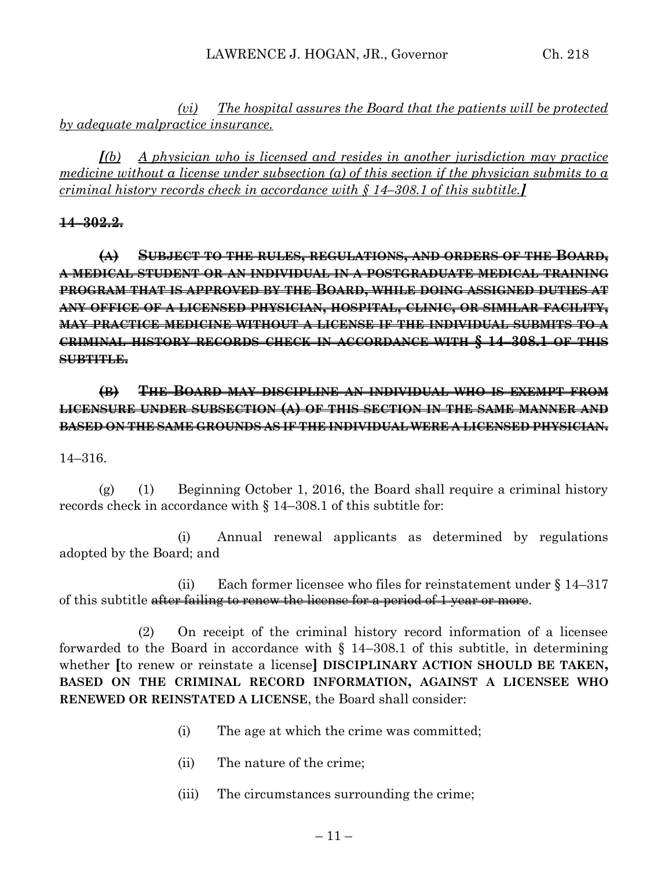*(vi) The hospital assures the Board that the patients will be protected by adequate malpractice insurance.*

*[(b) A physician who is licensed and resides in another jurisdiction may practice medicine without a license under subsection (a) of this section if the physician submits to a criminal history records check in accordance with § 14–308.1 of this subtitle.]*

## **14–302.2.**

**(A) SUBJECT TO THE RULES, REGULATIONS, AND ORDERS OF THE BOARD, A MEDICAL STUDENT OR AN INDIVIDUAL IN A POSTGRADUATE MEDICAL TRAINING PROGRAM THAT IS APPROVED BY THE BOARD, WHILE DOING ASSIGNED DUTIES AT ANY OFFICE OF A LICENSED PHYSICIAN, HOSPITAL, CLINIC, OR SIMILAR FACILITY, MAY PRACTICE MEDICINE WITHOUT A LICENSE IF THE INDIVIDUAL SUBMITS TO A CRIMINAL HISTORY RECORDS CHECK IN ACCORDANCE WITH § 14–308.1 OF THIS SUBTITLE.**

# **(B) THE BOARD MAY DISCIPLINE AN INDIVIDUAL WHO IS EXEMPT FROM LICENSURE UNDER SUBSECTION (A) OF THIS SECTION IN THE SAME MANNER AND BASED ON THE SAME GROUNDS AS IF THE INDIVIDUAL WERE A LICENSED PHYSICIAN.**

## 14–316.

(g) (1) Beginning October 1, 2016, the Board shall require a criminal history records check in accordance with § 14–308.1 of this subtitle for:

(i) Annual renewal applicants as determined by regulations adopted by the Board; and

(ii) Each former licensee who files for reinstatement under § 14–317 of this subtitle after failing to renew the license for a period of 1 year or more.

(2) On receipt of the criminal history record information of a licensee forwarded to the Board in accordance with  $\S$  14–308.1 of this subtitle, in determining whether **[**to renew or reinstate a license**] DISCIPLINARY ACTION SHOULD BE TAKEN, BASED ON THE CRIMINAL RECORD INFORMATION, AGAINST A LICENSEE WHO RENEWED OR REINSTATED A LICENSE**, the Board shall consider:

- (i) The age at which the crime was committed;
- (ii) The nature of the crime;
- (iii) The circumstances surrounding the crime;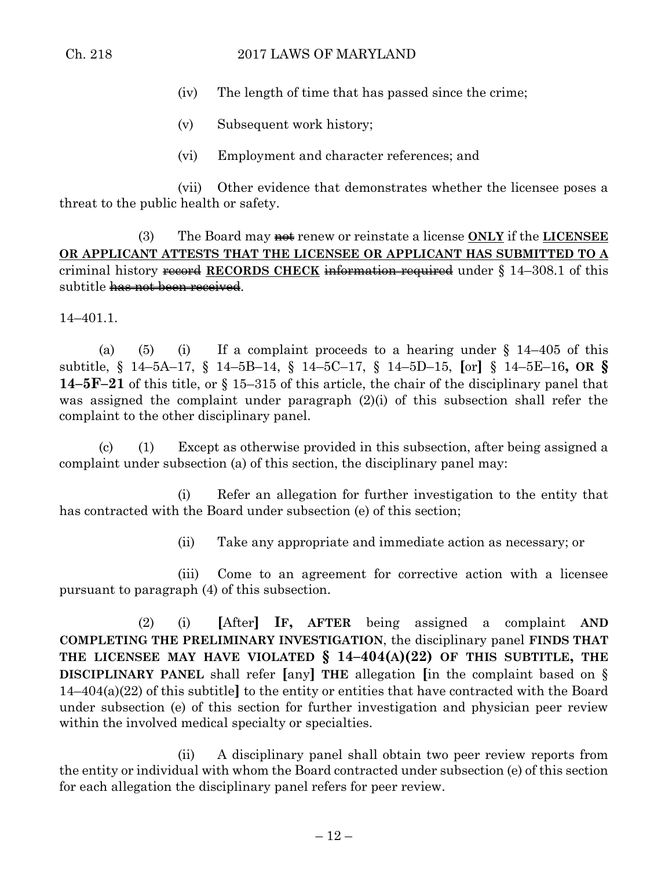## Ch. 218 2017 LAWS OF MARYLAND

- (iv) The length of time that has passed since the crime;
- (v) Subsequent work history;
- (vi) Employment and character references; and

(vii) Other evidence that demonstrates whether the licensee poses a threat to the public health or safety.

(3) The Board may not renew or reinstate a license **ONLY** if the **LICENSEE OR APPLICANT ATTESTS THAT THE LICENSEE OR APPLICANT HAS SUBMITTED TO A** criminal history record **RECORDS CHECK** information required under § 14–308.1 of this subtitle has not been received.

14–401.1.

(a) (5) (i) If a complaint proceeds to a hearing under  $\S$  14–405 of this subtitle, § 14–5A–17, § 14–5B–14, § 14–5C–17, § 14–5D–15, **[**or**]** § 14–5E–16**, OR § 14–5F–21** of this title, or § 15–315 of this article, the chair of the disciplinary panel that was assigned the complaint under paragraph (2)(i) of this subsection shall refer the complaint to the other disciplinary panel.

(c) (1) Except as otherwise provided in this subsection, after being assigned a complaint under subsection (a) of this section, the disciplinary panel may:

(i) Refer an allegation for further investigation to the entity that has contracted with the Board under subsection (e) of this section;

(ii) Take any appropriate and immediate action as necessary; or

(iii) Come to an agreement for corrective action with a licensee pursuant to paragraph (4) of this subsection.

(2) (i) **[**After**] IF, AFTER** being assigned a complaint **AND COMPLETING THE PRELIMINARY INVESTIGATION**, the disciplinary panel **FINDS THAT THE LICENSEE MAY HAVE VIOLATED § 14–404(A)(22) OF THIS SUBTITLE, THE DISCIPLINARY PANEL** shall refer **[**any**] THE** allegation **[**in the complaint based on § 14–404(a)(22) of this subtitle**]** to the entity or entities that have contracted with the Board under subsection (e) of this section for further investigation and physician peer review within the involved medical specialty or specialties.

(ii) A disciplinary panel shall obtain two peer review reports from the entity or individual with whom the Board contracted under subsection (e) of this section for each allegation the disciplinary panel refers for peer review.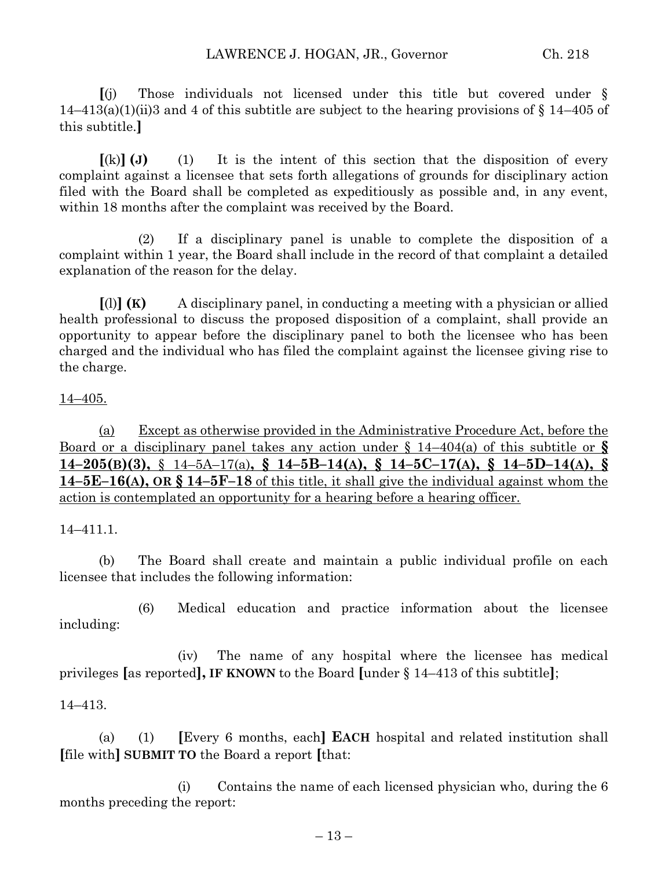**[**(j) Those individuals not licensed under this title but covered under §  $14-413(a)(1)(ii)3$  and 4 of this subtitle are subject to the hearing provisions of § 14–405 of this subtitle.**]**

 $[(k)]$  (**J**) (1) It is the intent of this section that the disposition of every complaint against a licensee that sets forth allegations of grounds for disciplinary action filed with the Board shall be completed as expeditiously as possible and, in any event, within 18 months after the complaint was received by the Board.

(2) If a disciplinary panel is unable to complete the disposition of a complaint within 1 year, the Board shall include in the record of that complaint a detailed explanation of the reason for the delay.

**[**(l)**] (K)** A disciplinary panel, in conducting a meeting with a physician or allied health professional to discuss the proposed disposition of a complaint, shall provide an opportunity to appear before the disciplinary panel to both the licensee who has been charged and the individual who has filed the complaint against the licensee giving rise to the charge.

#### 14–405.

(a) Except as otherwise provided in the Administrative Procedure Act, before the Board or a disciplinary panel takes any action under § 14–404(a) of this subtitle or **§**  $14-205(B)(3)$ , § 14-5A-17(a), § 14-5B-14(A), § 14-5C-17(A), § 14-5D-14(A), § **14–5E–16(A), OR § 14–5F–18** of this title, it shall give the individual against whom the action is contemplated an opportunity for a hearing before a hearing officer.

14–411.1.

(b) The Board shall create and maintain a public individual profile on each licensee that includes the following information:

(6) Medical education and practice information about the licensee including:

(iv) The name of any hospital where the licensee has medical privileges **[**as reported**], IF KNOWN** to the Board **[**under § 14–413 of this subtitle**]**;

#### 14–413.

(a) (1) **[**Every 6 months, each**] EACH** hospital and related institution shall **[**file with**] SUBMIT TO** the Board a report **[**that:

(i) Contains the name of each licensed physician who, during the 6 months preceding the report: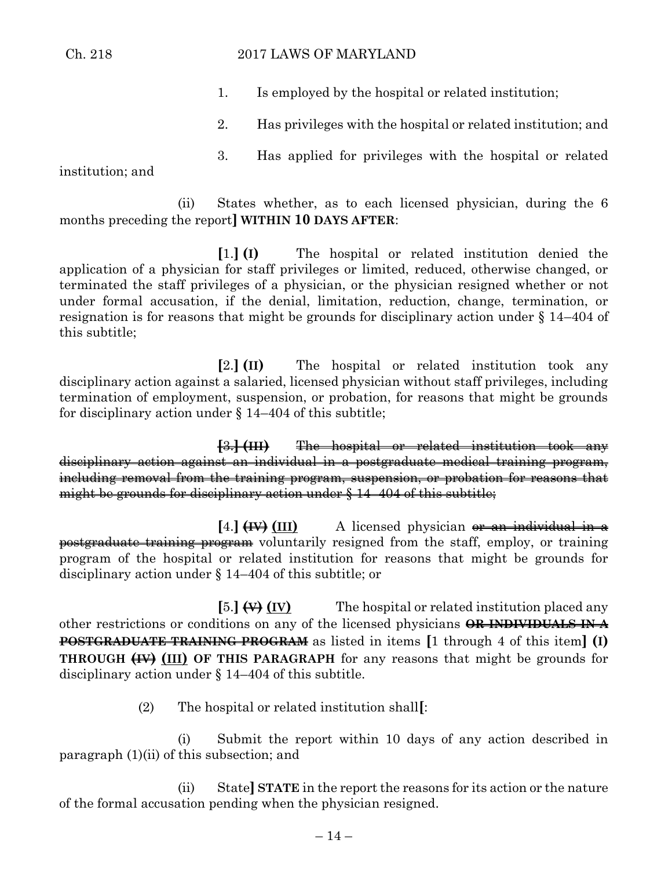#### Ch. 218 2017 LAWS OF MARYLAND

- 1. Is employed by the hospital or related institution;
- 2. Has privileges with the hospital or related institution; and
- 3. Has applied for privileges with the hospital or related

institution; and

(ii) States whether, as to each licensed physician, during the 6 months preceding the report**] WITHIN 10 DAYS AFTER**:

**[**1.**] (I)** The hospital or related institution denied the application of a physician for staff privileges or limited, reduced, otherwise changed, or terminated the staff privileges of a physician, or the physician resigned whether or not under formal accusation, if the denial, limitation, reduction, change, termination, or resignation is for reasons that might be grounds for disciplinary action under § 14–404 of this subtitle;

**[**2.**] (II)** The hospital or related institution took any disciplinary action against a salaried, licensed physician without staff privileges, including termination of employment, suspension, or probation, for reasons that might be grounds for disciplinary action under § 14–404 of this subtitle;

**[**3.**] (III)** The hospital or related institution took any disciplinary action against an individual in a postgraduate medical training program, including removal from the training program, suspension, or probation for reasons that might be grounds for disciplinary action under § 14–404 of this subtitle;

**[**4.**] (IV) (III)** A licensed physician or an individual in a postgraduate training program voluntarily resigned from the staff, employ, or training program of the hospital or related institution for reasons that might be grounds for disciplinary action under § 14–404 of this subtitle; or

**[**5.**] (V) (IV)** The hospital or related institution placed any other restrictions or conditions on any of the licensed physicians **OR INDIVIDUALS IN A POSTGRADUATE TRAINING PROGRAM** as listed in items **[**1 through 4 of this item**] (I) THROUGH (IV) (III) OF THIS PARAGRAPH** for any reasons that might be grounds for disciplinary action under § 14–404 of this subtitle.

(2) The hospital or related institution shall**[**:

(i) Submit the report within 10 days of any action described in paragraph (1)(ii) of this subsection; and

(ii) State**] STATE** in the report the reasons for its action or the nature of the formal accusation pending when the physician resigned.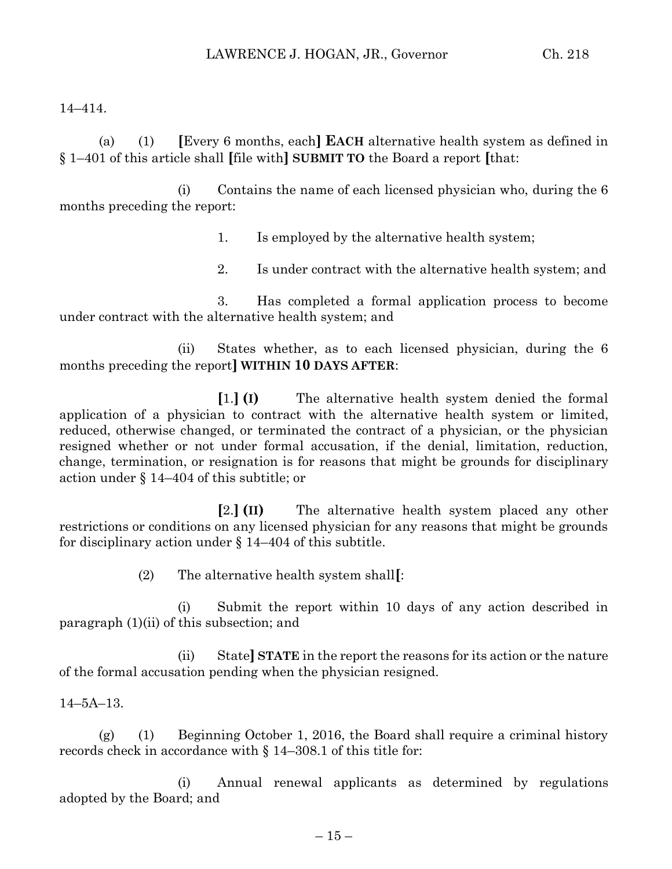## 14–414.

(a) (1) **[**Every 6 months, each**] EACH** alternative health system as defined in § 1–401 of this article shall **[**file with**] SUBMIT TO** the Board a report **[**that:

(i) Contains the name of each licensed physician who, during the 6 months preceding the report:

- 1. Is employed by the alternative health system;
- 2. Is under contract with the alternative health system; and

3. Has completed a formal application process to become under contract with the alternative health system; and

(ii) States whether, as to each licensed physician, during the 6 months preceding the report**] WITHIN 10 DAYS AFTER**:

**[**1.**] (I)** The alternative health system denied the formal application of a physician to contract with the alternative health system or limited, reduced, otherwise changed, or terminated the contract of a physician, or the physician resigned whether or not under formal accusation, if the denial, limitation, reduction, change, termination, or resignation is for reasons that might be grounds for disciplinary action under § 14–404 of this subtitle; or

**[**2.**] (II)** The alternative health system placed any other restrictions or conditions on any licensed physician for any reasons that might be grounds for disciplinary action under § 14–404 of this subtitle.

(2) The alternative health system shall**[**:

(i) Submit the report within 10 days of any action described in paragraph (1)(ii) of this subsection; and

(ii) State**] STATE** in the report the reasons for its action or the nature of the formal accusation pending when the physician resigned.

## 14–5A–13.

(g) (1) Beginning October 1, 2016, the Board shall require a criminal history records check in accordance with § 14–308.1 of this title for:

(i) Annual renewal applicants as determined by regulations adopted by the Board; and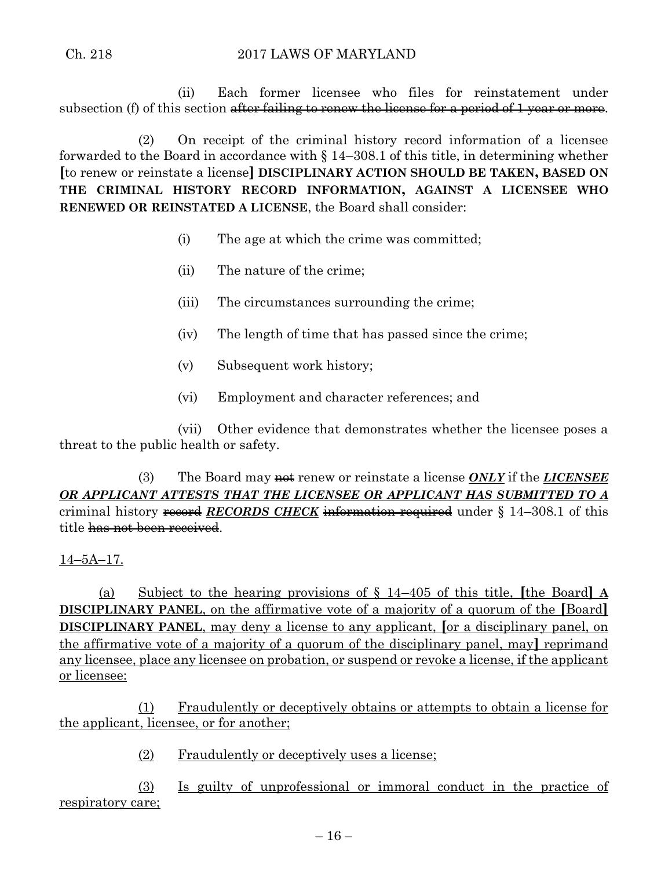(ii) Each former licensee who files for reinstatement under subsection (f) of this section after failing to renew the license for a period of 1 year or more.

(2) On receipt of the criminal history record information of a licensee forwarded to the Board in accordance with § 14–308.1 of this title, in determining whether **[**to renew or reinstate a license**] DISCIPLINARY ACTION SHOULD BE TAKEN, BASED ON THE CRIMINAL HISTORY RECORD INFORMATION, AGAINST A LICENSEE WHO RENEWED OR REINSTATED A LICENSE**, the Board shall consider:

- (i) The age at which the crime was committed;
- (ii) The nature of the crime;
- (iii) The circumstances surrounding the crime;
- (iv) The length of time that has passed since the crime;
- (v) Subsequent work history;
- (vi) Employment and character references; and

(vii) Other evidence that demonstrates whether the licensee poses a threat to the public health or safety.

(3) The Board may **not** renew or reinstate a license *ONLY* if the *LICENSEE OR APPLICANT ATTESTS THAT THE LICENSEE OR APPLICANT HAS SUBMITTED TO A* criminal history record *RECORDS CHECK* information required under § 14–308.1 of this title has not been received.

## 14–5A–17.

(a) Subject to the hearing provisions of § 14–405 of this title, **[**the Board**] A DISCIPLINARY PANEL**, on the affirmative vote of a majority of a quorum of the **[**Board**] DISCIPLINARY PANEL**, may deny a license to any applicant, **[**or a disciplinary panel, on the affirmative vote of a majority of a quorum of the disciplinary panel, may**]** reprimand any licensee, place any licensee on probation, or suspend or revoke a license, if the applicant or licensee:

(1) Fraudulently or deceptively obtains or attempts to obtain a license for the applicant, licensee, or for another;

(2) Fraudulently or deceptively uses a license;

(3) Is guilty of unprofessional or immoral conduct in the practice of respiratory care;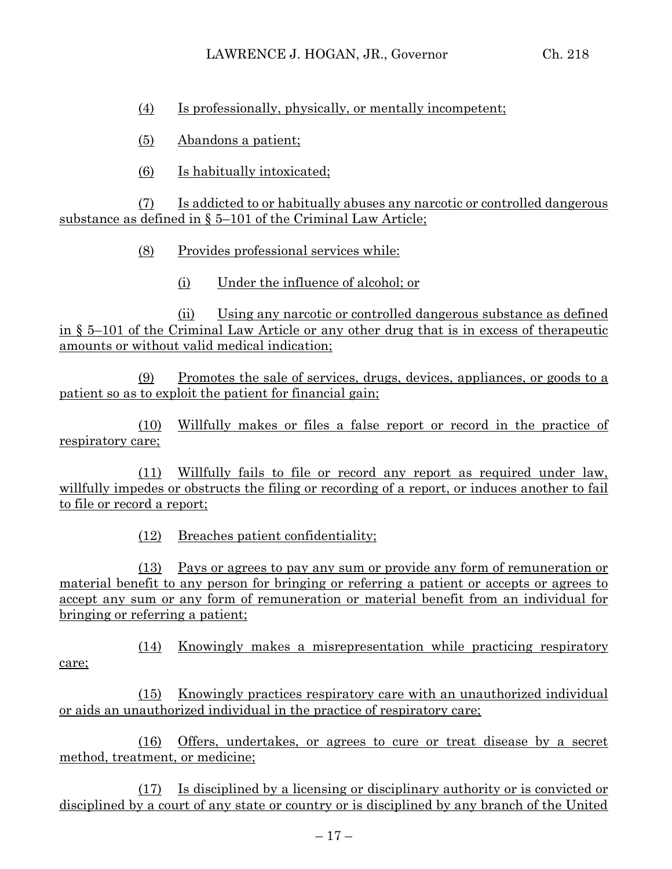(4) Is professionally, physically, or mentally incompetent;

(5) Abandons a patient;

(6) Is habitually intoxicated;

(7) Is addicted to or habitually abuses any narcotic or controlled dangerous substance as defined in § 5–101 of the Criminal Law Article;

(8) Provides professional services while:

(i) Under the influence of alcohol; or

(ii) Using any narcotic or controlled dangerous substance as defined in § 5–101 of the Criminal Law Article or any other drug that is in excess of therapeutic amounts or without valid medical indication;

(9) Promotes the sale of services, drugs, devices, appliances, or goods to a patient so as to exploit the patient for financial gain;

(10) Willfully makes or files a false report or record in the practice of respiratory care;

(11) Willfully fails to file or record any report as required under law, willfully impedes or obstructs the filing or recording of a report, or induces another to fail to file or record a report;

(12) Breaches patient confidentiality;

(13) Pays or agrees to pay any sum or provide any form of remuneration or material benefit to any person for bringing or referring a patient or accepts or agrees to accept any sum or any form of remuneration or material benefit from an individual for bringing or referring a patient;

(14) Knowingly makes a misrepresentation while practicing respiratory care;

(15) Knowingly practices respiratory care with an unauthorized individual or aids an unauthorized individual in the practice of respiratory care;

(16) Offers, undertakes, or agrees to cure or treat disease by a secret method, treatment, or medicine;

(17) Is disciplined by a licensing or disciplinary authority or is convicted or disciplined by a court of any state or country or is disciplined by any branch of the United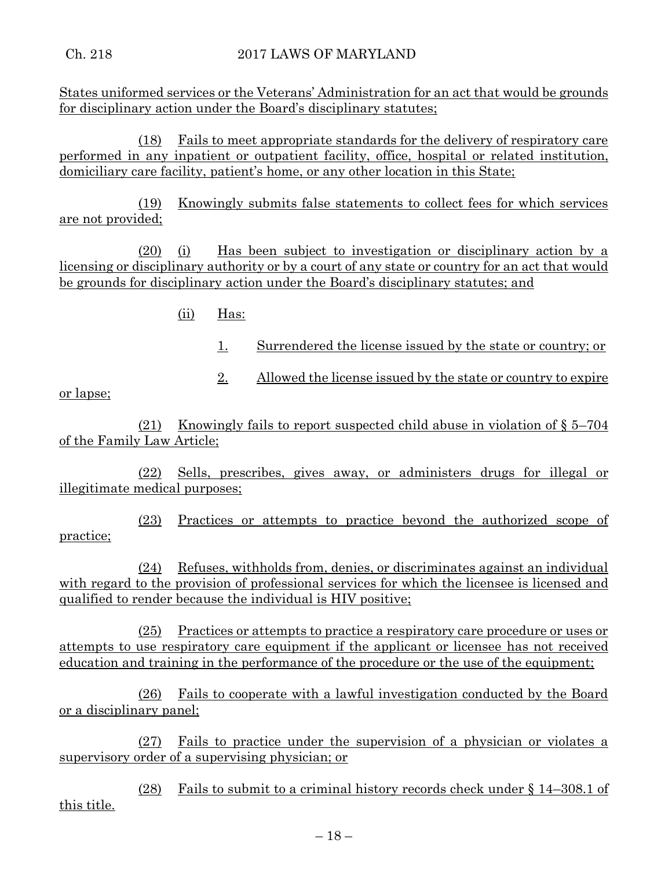States uniformed services or the Veterans' Administration for an act that would be grounds for disciplinary action under the Board's disciplinary statutes;

(18) Fails to meet appropriate standards for the delivery of respiratory care performed in any inpatient or outpatient facility, office, hospital or related institution, domiciliary care facility, patient's home, or any other location in this State;

(19) Knowingly submits false statements to collect fees for which services are not provided;

(20) (i) Has been subject to investigation or disciplinary action by a licensing or disciplinary authority or by a court of any state or country for an act that would be grounds for disciplinary action under the Board's disciplinary statutes; and

- (ii) Has:
	- 1. Surrendered the license issued by the state or country; or
	- 2. Allowed the license issued by the state or country to expire

or lapse;

(21) Knowingly fails to report suspected child abuse in violation of § 5–704 of the Family Law Article;

(22) Sells, prescribes, gives away, or administers drugs for illegal or illegitimate medical purposes;

(23) Practices or attempts to practice beyond the authorized scope of practice;

(24) Refuses, withholds from, denies, or discriminates against an individual with regard to the provision of professional services for which the licensee is licensed and qualified to render because the individual is HIV positive;

(25) Practices or attempts to practice a respiratory care procedure or uses or attempts to use respiratory care equipment if the applicant or licensee has not received education and training in the performance of the procedure or the use of the equipment;

(26) Fails to cooperate with a lawful investigation conducted by the Board or a disciplinary panel;

(27) Fails to practice under the supervision of a physician or violates a supervisory order of a supervising physician; or

(28) Fails to submit to a criminal history records check under § 14–308.1 of this title.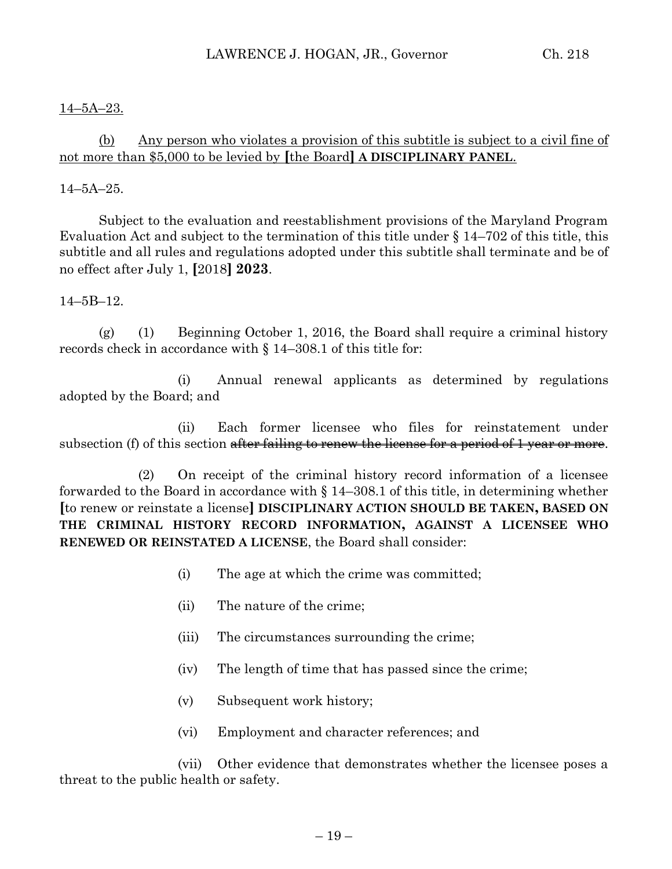## 14–5A–23.

# (b) Any person who violates a provision of this subtitle is subject to a civil fine of not more than \$5,000 to be levied by **[**the Board**] A DISCIPLINARY PANEL**.

## 14–5A–25.

Subject to the evaluation and reestablishment provisions of the Maryland Program Evaluation Act and subject to the termination of this title under § 14–702 of this title, this subtitle and all rules and regulations adopted under this subtitle shall terminate and be of no effect after July 1, **[**2018**] 2023**.

## 14–5B–12.

(g) (1) Beginning October 1, 2016, the Board shall require a criminal history records check in accordance with § 14–308.1 of this title for:

(i) Annual renewal applicants as determined by regulations adopted by the Board; and

(ii) Each former licensee who files for reinstatement under subsection (f) of this section after failing to renew the license for a period of 1 year or more.

(2) On receipt of the criminal history record information of a licensee forwarded to the Board in accordance with § 14–308.1 of this title, in determining whether **[**to renew or reinstate a license**] DISCIPLINARY ACTION SHOULD BE TAKEN, BASED ON THE CRIMINAL HISTORY RECORD INFORMATION, AGAINST A LICENSEE WHO RENEWED OR REINSTATED A LICENSE**, the Board shall consider:

- (i) The age at which the crime was committed;
- (ii) The nature of the crime;
- (iii) The circumstances surrounding the crime;
- (iv) The length of time that has passed since the crime;
- (v) Subsequent work history;
- (vi) Employment and character references; and

(vii) Other evidence that demonstrates whether the licensee poses a threat to the public health or safety.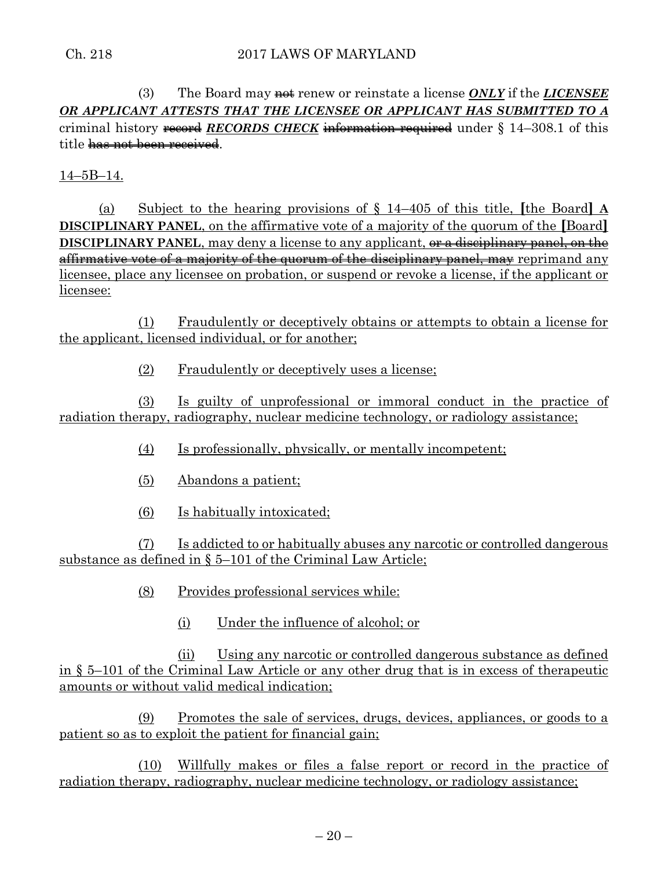(3) The Board may **not** renew or reinstate a license *ONLY* if the *LICENSEE OR APPLICANT ATTESTS THAT THE LICENSEE OR APPLICANT HAS SUBMITTED TO A* criminal history record *RECORDS CHECK* information required under § 14–308.1 of this title has not been received.

14–5B–14.

(a) Subject to the hearing provisions of § 14–405 of this title, **[**the Board**] A DISCIPLINARY PANEL**, on the affirmative vote of a majority of the quorum of the **[**Board**] DISCIPLINARY PANEL**, may deny a license to any applicant, or a disciplinary panel, on the affirmative vote of a majority of the quorum of the disciplinary panel, may reprimand any licensee, place any licensee on probation, or suspend or revoke a license, if the applicant or licensee:

(1) Fraudulently or deceptively obtains or attempts to obtain a license for the applicant, licensed individual, or for another;

(2) Fraudulently or deceptively uses a license;

(3) Is guilty of unprofessional or immoral conduct in the practice of radiation therapy, radiography, nuclear medicine technology, or radiology assistance;

- (4) Is professionally, physically, or mentally incompetent;
- (5) Abandons a patient;
- (6) Is habitually intoxicated;

(7) Is addicted to or habitually abuses any narcotic or controlled dangerous substance as defined in § 5–101 of the Criminal Law Article;

(8) Provides professional services while:

(i) Under the influence of alcohol; or

(ii) Using any narcotic or controlled dangerous substance as defined in § 5–101 of the Criminal Law Article or any other drug that is in excess of therapeutic amounts or without valid medical indication;

(9) Promotes the sale of services, drugs, devices, appliances, or goods to a patient so as to exploit the patient for financial gain;

(10) Willfully makes or files a false report or record in the practice of radiation therapy, radiography, nuclear medicine technology, or radiology assistance;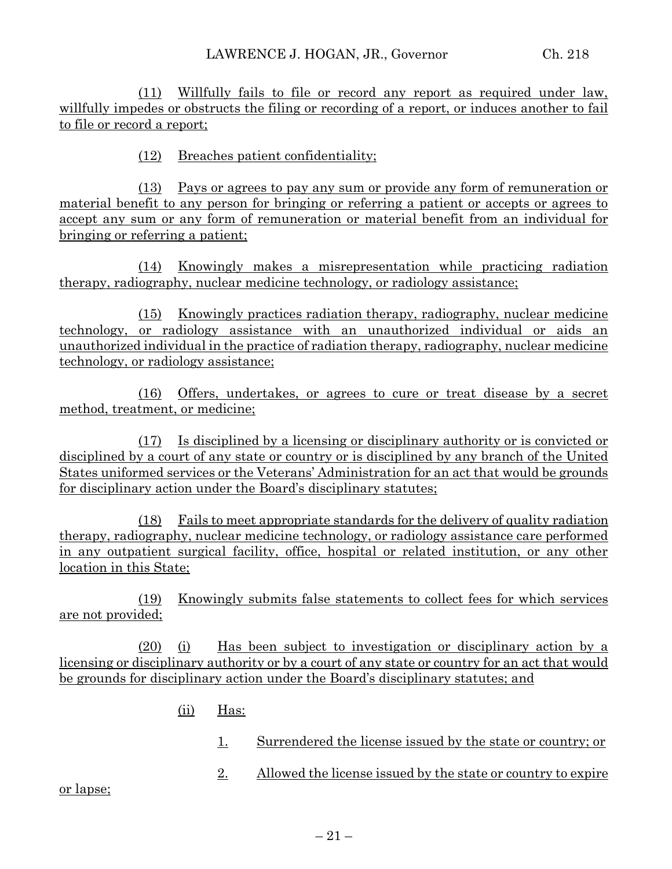(11) Willfully fails to file or record any report as required under law, willfully impedes or obstructs the filing or recording of a report, or induces another to fail to file or record a report;

(12) Breaches patient confidentiality;

(13) Pays or agrees to pay any sum or provide any form of remuneration or material benefit to any person for bringing or referring a patient or accepts or agrees to accept any sum or any form of remuneration or material benefit from an individual for bringing or referring a patient;

(14) Knowingly makes a misrepresentation while practicing radiation therapy, radiography, nuclear medicine technology, or radiology assistance;

(15) Knowingly practices radiation therapy, radiography, nuclear medicine technology, or radiology assistance with an unauthorized individual or aids an unauthorized individual in the practice of radiation therapy, radiography, nuclear medicine technology, or radiology assistance;

(16) Offers, undertakes, or agrees to cure or treat disease by a secret method, treatment, or medicine;

(17) Is disciplined by a licensing or disciplinary authority or is convicted or disciplined by a court of any state or country or is disciplined by any branch of the United States uniformed services or the Veterans' Administration for an act that would be grounds for disciplinary action under the Board's disciplinary statutes;

(18) Fails to meet appropriate standards for the delivery of quality radiation therapy, radiography, nuclear medicine technology, or radiology assistance care performed in any outpatient surgical facility, office, hospital or related institution, or any other location in this State;

(19) Knowingly submits false statements to collect fees for which services are not provided;

(20) (i) Has been subject to investigation or disciplinary action by a licensing or disciplinary authority or by a court of any state or country for an act that would be grounds for disciplinary action under the Board's disciplinary statutes; and

- (ii) Has:
	- 1. Surrendered the license issued by the state or country; or
	- 2. Allowed the license issued by the state or country to expire

or lapse;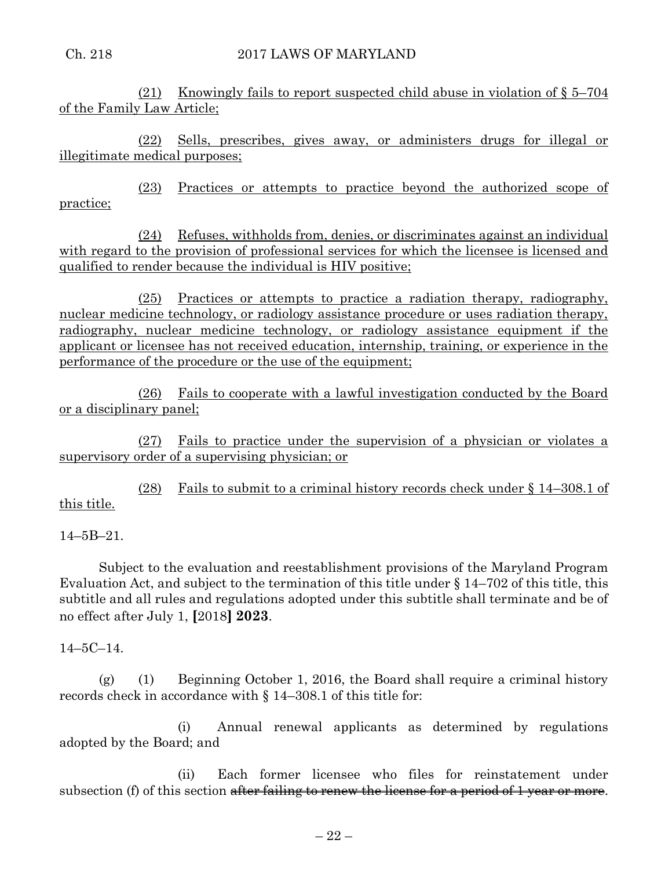(21) Knowingly fails to report suspected child abuse in violation of § 5–704 of the Family Law Article;

(22) Sells, prescribes, gives away, or administers drugs for illegal or illegitimate medical purposes;

(23) Practices or attempts to practice beyond the authorized scope of practice;

(24) Refuses, withholds from, denies, or discriminates against an individual with regard to the provision of professional services for which the licensee is licensed and qualified to render because the individual is HIV positive;

(25) Practices or attempts to practice a radiation therapy, radiography, nuclear medicine technology, or radiology assistance procedure or uses radiation therapy, radiography, nuclear medicine technology, or radiology assistance equipment if the applicant or licensee has not received education, internship, training, or experience in the performance of the procedure or the use of the equipment;

(26) Fails to cooperate with a lawful investigation conducted by the Board or a disciplinary panel;

(27) Fails to practice under the supervision of a physician or violates a supervisory order of a supervising physician; or

(28) Fails to submit to a criminal history records check under § 14–308.1 of this title.

14–5B–21.

Subject to the evaluation and reestablishment provisions of the Maryland Program Evaluation Act, and subject to the termination of this title under  $\S 14-702$  of this title, this subtitle and all rules and regulations adopted under this subtitle shall terminate and be of no effect after July 1, **[**2018**] 2023**.

14–5C–14.

(g) (1) Beginning October 1, 2016, the Board shall require a criminal history records check in accordance with § 14–308.1 of this title for:

(i) Annual renewal applicants as determined by regulations adopted by the Board; and

(ii) Each former licensee who files for reinstatement under subsection (f) of this section after failing to renew the license for a period of 1 year or more.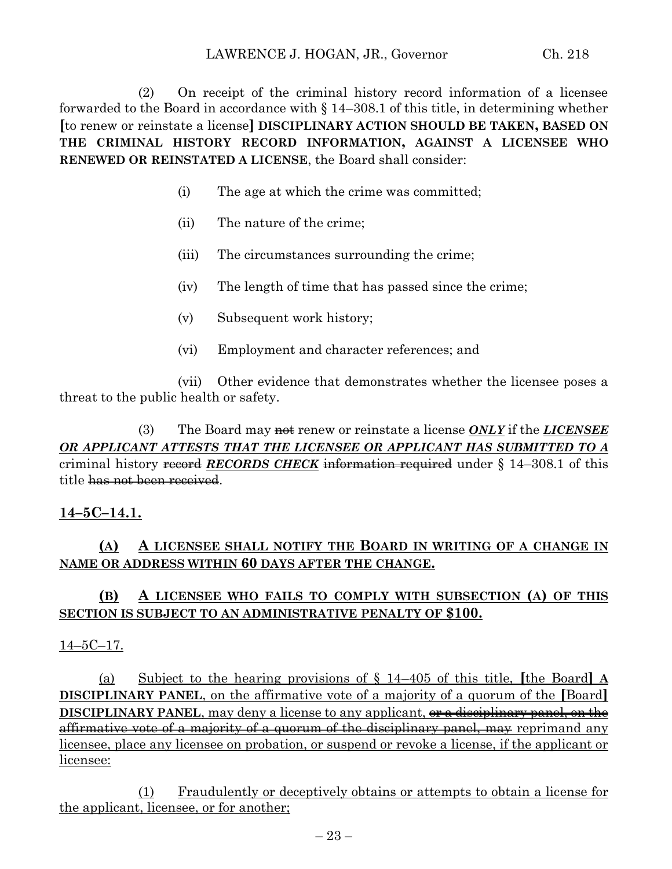(2) On receipt of the criminal history record information of a licensee forwarded to the Board in accordance with § 14–308.1 of this title, in determining whether **[**to renew or reinstate a license**] DISCIPLINARY ACTION SHOULD BE TAKEN, BASED ON THE CRIMINAL HISTORY RECORD INFORMATION, AGAINST A LICENSEE WHO RENEWED OR REINSTATED A LICENSE**, the Board shall consider:

- (i) The age at which the crime was committed;
- (ii) The nature of the crime;
- (iii) The circumstances surrounding the crime;
- (iv) The length of time that has passed since the crime;
- (v) Subsequent work history;
- (vi) Employment and character references; and

(vii) Other evidence that demonstrates whether the licensee poses a threat to the public health or safety.

(3) The Board may **not** renew or reinstate a license *ONLY* if the *LICENSEE OR APPLICANT ATTESTS THAT THE LICENSEE OR APPLICANT HAS SUBMITTED TO A* criminal history record *RECORDS CHECK* information required under § 14–308.1 of this title has not been received.

# **14–5C–14.1.**

# **(A) A LICENSEE SHALL NOTIFY THE BOARD IN WRITING OF A CHANGE IN NAME OR ADDRESS WITHIN 60 DAYS AFTER THE CHANGE.**

## **(B) A LICENSEE WHO FAILS TO COMPLY WITH SUBSECTION (A) OF THIS SECTION IS SUBJECT TO AN ADMINISTRATIVE PENALTY OF \$100.**

## $14-5C-17.$

(a) Subject to the hearing provisions of § 14–405 of this title, **[**the Board**] A DISCIPLINARY PANEL**, on the affirmative vote of a majority of a quorum of the **[**Board**] DISCIPLINARY PANEL**, may deny a license to any applicant, or a disciplinary panel, on the affirmative vote of a majority of a quorum of the disciplinary panel, may reprimand any licensee, place any licensee on probation, or suspend or revoke a license, if the applicant or licensee:

(1) Fraudulently or deceptively obtains or attempts to obtain a license for the applicant, licensee, or for another;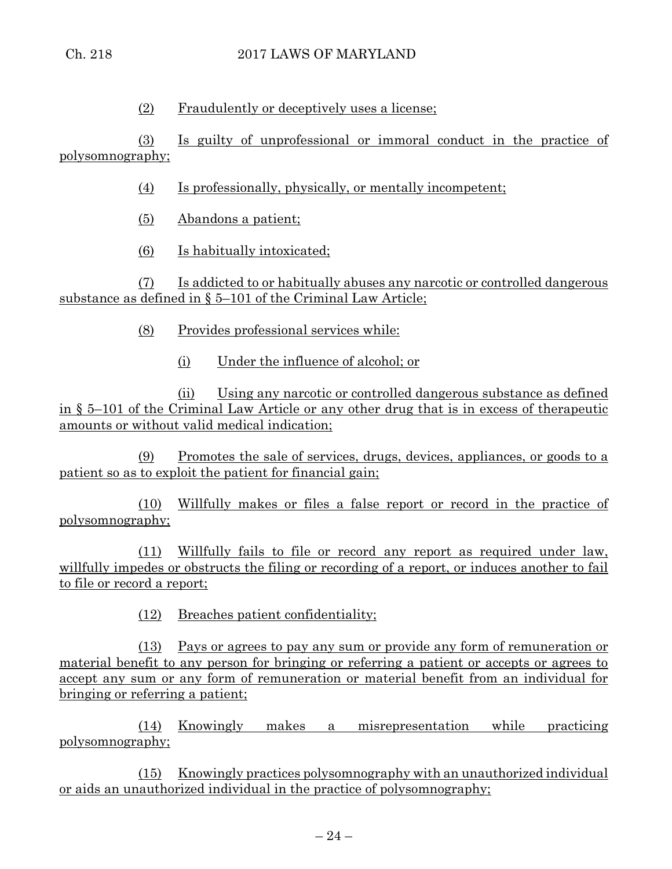(2) Fraudulently or deceptively uses a license;

(3) Is guilty of unprofessional or immoral conduct in the practice of polysomnography;

(4) Is professionally, physically, or mentally incompetent;

- (5) Abandons a patient;
- (6) Is habitually intoxicated;

(7) Is addicted to or habitually abuses any narcotic or controlled dangerous substance as defined in § 5–101 of the Criminal Law Article;

- (8) Provides professional services while:
	- (i) Under the influence of alcohol; or

(ii) Using any narcotic or controlled dangerous substance as defined in § 5–101 of the Criminal Law Article or any other drug that is in excess of therapeutic amounts or without valid medical indication;

(9) Promotes the sale of services, drugs, devices, appliances, or goods to a patient so as to exploit the patient for financial gain;

(10) Willfully makes or files a false report or record in the practice of polysomnography;

(11) Willfully fails to file or record any report as required under law, willfully impedes or obstructs the filing or recording of a report, or induces another to fail to file or record a report;

(12) Breaches patient confidentiality;

(13) Pays or agrees to pay any sum or provide any form of remuneration or material benefit to any person for bringing or referring a patient or accepts or agrees to accept any sum or any form of remuneration or material benefit from an individual for bringing or referring a patient;

(14) Knowingly makes a misrepresentation while practicing polysomnography;

(15) Knowingly practices polysomnography with an unauthorized individual or aids an unauthorized individual in the practice of polysomnography;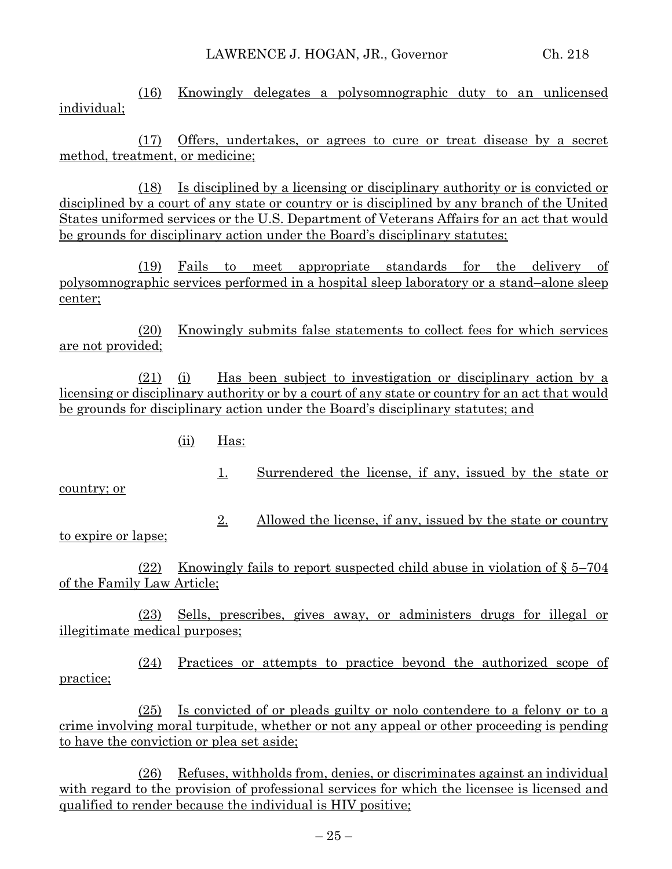(16) Knowingly delegates a polysomnographic duty to an unlicensed individual;

(17) Offers, undertakes, or agrees to cure or treat disease by a secret method, treatment, or medicine;

(18) Is disciplined by a licensing or disciplinary authority or is convicted or disciplined by a court of any state or country or is disciplined by any branch of the United States uniformed services or the U.S. Department of Veterans Affairs for an act that would be grounds for disciplinary action under the Board's disciplinary statutes;

(19) Fails to meet appropriate standards for the delivery of polysomnographic services performed in a hospital sleep laboratory or a stand–alone sleep center;

(20) Knowingly submits false statements to collect fees for which services are not provided;

(21) (i) Has been subject to investigation or disciplinary action by a licensing or disciplinary authority or by a court of any state or country for an act that would be grounds for disciplinary action under the Board's disciplinary statutes; and

- (ii) Has:
	- 1. Surrendered the license, if any, issued by the state or

country; or

2. Allowed the license, if any, issued by the state or country

to expire or lapse;

(22) Knowingly fails to report suspected child abuse in violation of § 5–704 of the Family Law Article;

(23) Sells, prescribes, gives away, or administers drugs for illegal or illegitimate medical purposes;

(24) Practices or attempts to practice beyond the authorized scope of practice;

(25) Is convicted of or pleads guilty or nolo contendere to a felony or to a crime involving moral turpitude, whether or not any appeal or other proceeding is pending to have the conviction or plea set aside;

(26) Refuses, withholds from, denies, or discriminates against an individual with regard to the provision of professional services for which the licensee is licensed and qualified to render because the individual is HIV positive;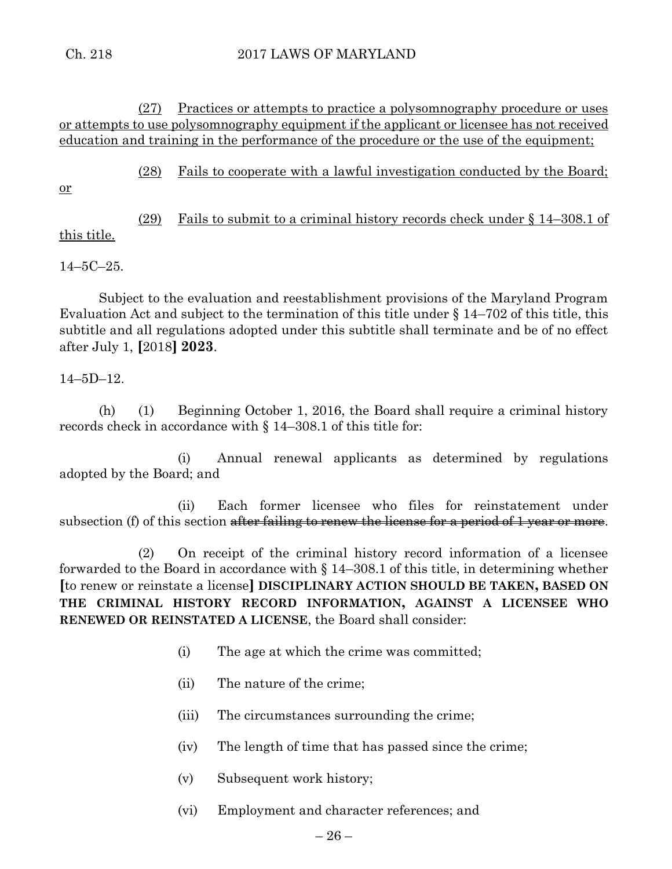(27) Practices or attempts to practice a polysomnography procedure or uses or attempts to use polysomnography equipment if the applicant or licensee has not received education and training in the performance of the procedure or the use of the equipment;

(28) Fails to cooperate with a lawful investigation conducted by the Board;

or

(29) Fails to submit to a criminal history records check under § 14–308.1 of this title.

14–5C–25.

Subject to the evaluation and reestablishment provisions of the Maryland Program Evaluation Act and subject to the termination of this title under § 14–702 of this title, this subtitle and all regulations adopted under this subtitle shall terminate and be of no effect after July 1, **[**2018**] 2023**.

# 14–5D–12.

(h) (1) Beginning October 1, 2016, the Board shall require a criminal history records check in accordance with § 14–308.1 of this title for:

(i) Annual renewal applicants as determined by regulations adopted by the Board; and

(ii) Each former licensee who files for reinstatement under subsection (f) of this section after failing to renew the license for a period of 1 year or more.

(2) On receipt of the criminal history record information of a licensee forwarded to the Board in accordance with § 14–308.1 of this title, in determining whether **[**to renew or reinstate a license**] DISCIPLINARY ACTION SHOULD BE TAKEN, BASED ON THE CRIMINAL HISTORY RECORD INFORMATION, AGAINST A LICENSEE WHO RENEWED OR REINSTATED A LICENSE**, the Board shall consider:

- (i) The age at which the crime was committed;
- (ii) The nature of the crime;
- (iii) The circumstances surrounding the crime;
- (iv) The length of time that has passed since the crime;
- (v) Subsequent work history;
- (vi) Employment and character references; and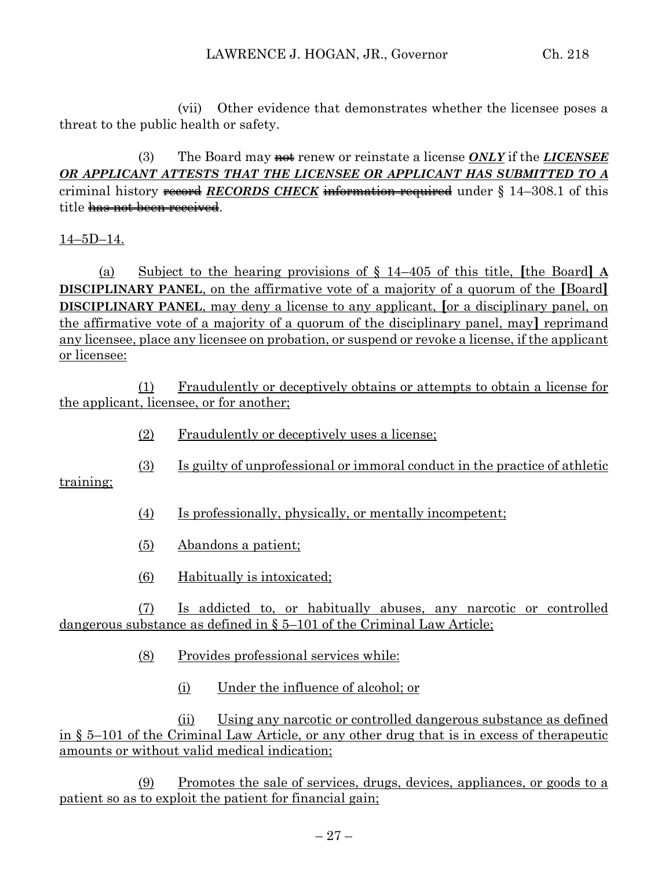(vii) Other evidence that demonstrates whether the licensee poses a threat to the public health or safety.

(3) The Board may not renew or reinstate a license *ONLY* if the *LICENSEE OR APPLICANT ATTESTS THAT THE LICENSEE OR APPLICANT HAS SUBMITTED TO A* criminal history record *RECORDS CHECK* information required under § 14–308.1 of this title has not been received.

14–5D–14.

(a) Subject to the hearing provisions of § 14–405 of this title, **[**the Board**] A DISCIPLINARY PANEL**, on the affirmative vote of a majority of a quorum of the **[**Board**] DISCIPLINARY PANEL**, may deny a license to any applicant, **[**or a disciplinary panel, on the affirmative vote of a majority of a quorum of the disciplinary panel, may**]** reprimand any licensee, place any licensee on probation, or suspend or revoke a license, if the applicant or licensee:

(1) Fraudulently or deceptively obtains or attempts to obtain a license for the applicant, licensee, or for another;

- (2) Fraudulently or deceptively uses a license;
- (3) Is guilty of unprofessional or immoral conduct in the practice of athletic

training;

- (4) Is professionally, physically, or mentally incompetent;
- (5) Abandons a patient;
- (6) Habitually is intoxicated;

(7) Is addicted to, or habitually abuses, any narcotic or controlled dangerous substance as defined in § 5–101 of the Criminal Law Article;

- (8) Provides professional services while:
	- (i) Under the influence of alcohol; or

(ii) Using any narcotic or controlled dangerous substance as defined in § 5–101 of the Criminal Law Article, or any other drug that is in excess of therapeutic amounts or without valid medical indication;

(9) Promotes the sale of services, drugs, devices, appliances, or goods to a patient so as to exploit the patient for financial gain;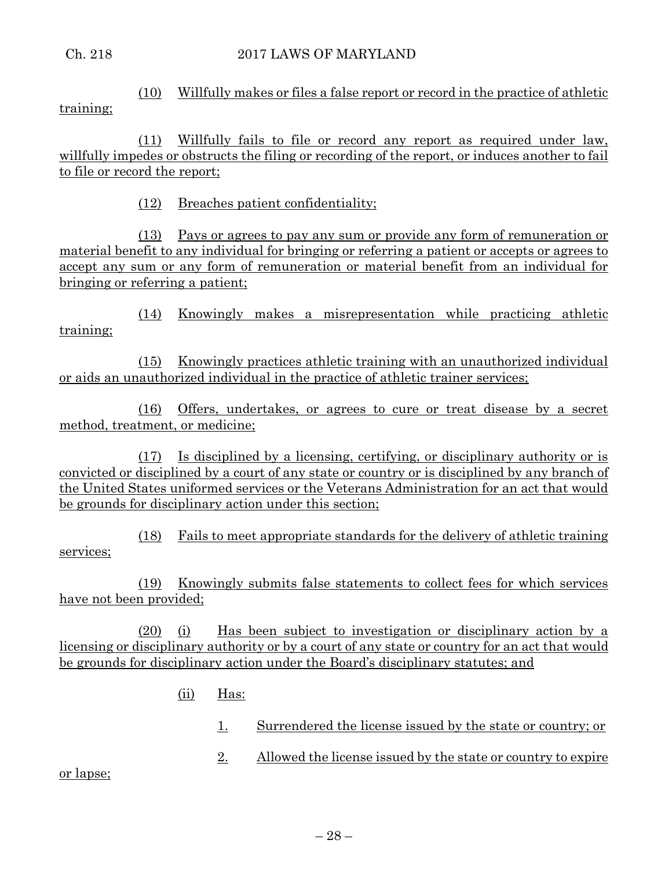(10) Willfully makes or files a false report or record in the practice of athletic training;

(11) Willfully fails to file or record any report as required under law, willfully impedes or obstructs the filing or recording of the report, or induces another to fail to file or record the report;

(12) Breaches patient confidentiality;

(13) Pays or agrees to pay any sum or provide any form of remuneration or material benefit to any individual for bringing or referring a patient or accepts or agrees to accept any sum or any form of remuneration or material benefit from an individual for bringing or referring a patient;

(14) Knowingly makes a misrepresentation while practicing athletic training;

(15) Knowingly practices athletic training with an unauthorized individual or aids an unauthorized individual in the practice of athletic trainer services;

(16) Offers, undertakes, or agrees to cure or treat disease by a secret method, treatment, or medicine;

(17) Is disciplined by a licensing, certifying, or disciplinary authority or is convicted or disciplined by a court of any state or country or is disciplined by any branch of the United States uniformed services or the Veterans Administration for an act that would be grounds for disciplinary action under this section;

(18) Fails to meet appropriate standards for the delivery of athletic training services;

(19) Knowingly submits false statements to collect fees for which services have not been provided;

(20) (i) Has been subject to investigation or disciplinary action by a licensing or disciplinary authority or by a court of any state or country for an act that would be grounds for disciplinary action under the Board's disciplinary statutes; and

- (ii) Has:
	- 1. Surrendered the license issued by the state or country; or
	- 2. Allowed the license issued by the state or country to expire

or lapse;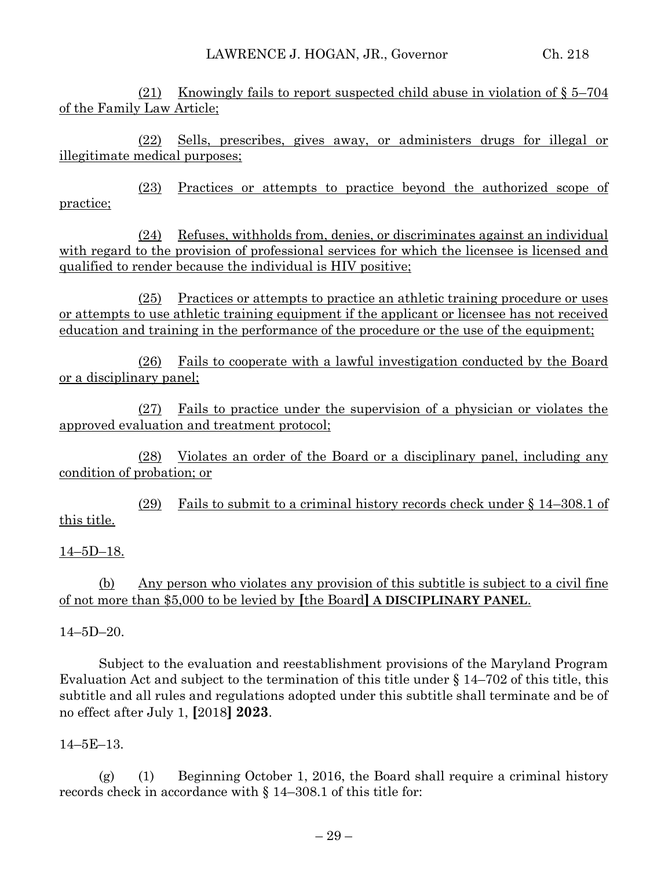(21) Knowingly fails to report suspected child abuse in violation of § 5–704 of the Family Law Article;

(22) Sells, prescribes, gives away, or administers drugs for illegal or illegitimate medical purposes;

(23) Practices or attempts to practice beyond the authorized scope of practice;

(24) Refuses, withholds from, denies, or discriminates against an individual with regard to the provision of professional services for which the licensee is licensed and qualified to render because the individual is HIV positive;

(25) Practices or attempts to practice an athletic training procedure or uses or attempts to use athletic training equipment if the applicant or licensee has not received education and training in the performance of the procedure or the use of the equipment;

(26) Fails to cooperate with a lawful investigation conducted by the Board or a disciplinary panel;

(27) Fails to practice under the supervision of a physician or violates the approved evaluation and treatment protocol;

(28) Violates an order of the Board or a disciplinary panel, including any condition of probation; or

(29) Fails to submit to a criminal history records check under § 14–308.1 of this title.

## 14–5D–18.

(b) Any person who violates any provision of this subtitle is subject to a civil fine of not more than \$5,000 to be levied by **[**the Board**] A DISCIPLINARY PANEL**.

14–5D–20.

Subject to the evaluation and reestablishment provisions of the Maryland Program Evaluation Act and subject to the termination of this title under § 14–702 of this title, this subtitle and all rules and regulations adopted under this subtitle shall terminate and be of no effect after July 1, **[**2018**] 2023**.

## 14–5E–13.

(g) (1) Beginning October 1, 2016, the Board shall require a criminal history records check in accordance with § 14–308.1 of this title for: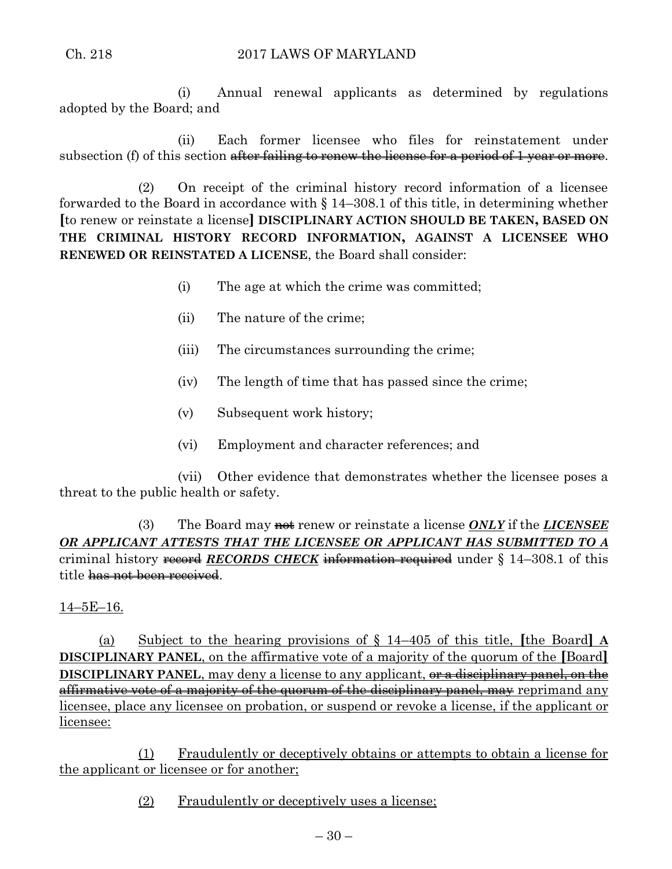(i) Annual renewal applicants as determined by regulations adopted by the Board; and

(ii) Each former licensee who files for reinstatement under subsection (f) of this section after failing to renew the license for a period of 1 year or more.

(2) On receipt of the criminal history record information of a licensee forwarded to the Board in accordance with § 14–308.1 of this title, in determining whether **[**to renew or reinstate a license**] DISCIPLINARY ACTION SHOULD BE TAKEN, BASED ON THE CRIMINAL HISTORY RECORD INFORMATION, AGAINST A LICENSEE WHO RENEWED OR REINSTATED A LICENSE**, the Board shall consider:

- (i) The age at which the crime was committed;
- (ii) The nature of the crime;
- (iii) The circumstances surrounding the crime;
- (iv) The length of time that has passed since the crime;
- (v) Subsequent work history;
- (vi) Employment and character references; and

(vii) Other evidence that demonstrates whether the licensee poses a threat to the public health or safety.

(3) The Board may not renew or reinstate a license *ONLY* if the *LICENSEE OR APPLICANT ATTESTS THAT THE LICENSEE OR APPLICANT HAS SUBMITTED TO A* criminal history record *RECORDS CHECK* information required under § 14-308.1 of this title has not been received.

## 14–5E–16.

(a) Subject to the hearing provisions of § 14–405 of this title, **[**the Board**] A DISCIPLINARY PANEL**, on the affirmative vote of a majority of the quorum of the **[**Board**] DISCIPLINARY PANEL**, may deny a license to any applicant, or a disciplinary panel, on the affirmative vote of a majority of the quorum of the disciplinary panel, may reprimand any licensee, place any licensee on probation, or suspend or revoke a license, if the applicant or licensee:

(1) Fraudulently or deceptively obtains or attempts to obtain a license for the applicant or licensee or for another;

(2) Fraudulently or deceptively uses a license;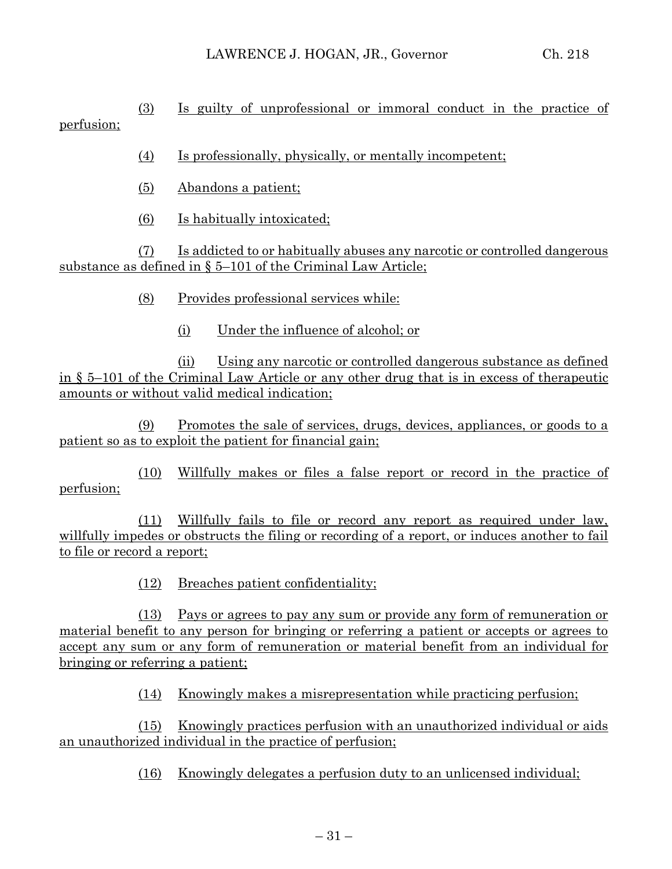(3) Is guilty of unprofessional or immoral conduct in the practice of perfusion;

(4) Is professionally, physically, or mentally incompetent;

- (5) Abandons a patient;
- (6) Is habitually intoxicated;

(7) Is addicted to or habitually abuses any narcotic or controlled dangerous substance as defined in § 5–101 of the Criminal Law Article;

(8) Provides professional services while:

(i) Under the influence of alcohol; or

(ii) Using any narcotic or controlled dangerous substance as defined in § 5–101 of the Criminal Law Article or any other drug that is in excess of therapeutic amounts or without valid medical indication;

(9) Promotes the sale of services, drugs, devices, appliances, or goods to a patient so as to exploit the patient for financial gain;

(10) Willfully makes or files a false report or record in the practice of perfusion;

(11) Willfully fails to file or record any report as required under law, willfully impedes or obstructs the filing or recording of a report, or induces another to fail to file or record a report;

(12) Breaches patient confidentiality;

(13) Pays or agrees to pay any sum or provide any form of remuneration or material benefit to any person for bringing or referring a patient or accepts or agrees to accept any sum or any form of remuneration or material benefit from an individual for bringing or referring a patient;

(14) Knowingly makes a misrepresentation while practicing perfusion;

(15) Knowingly practices perfusion with an unauthorized individual or aids an unauthorized individual in the practice of perfusion;

(16) Knowingly delegates a perfusion duty to an unlicensed individual;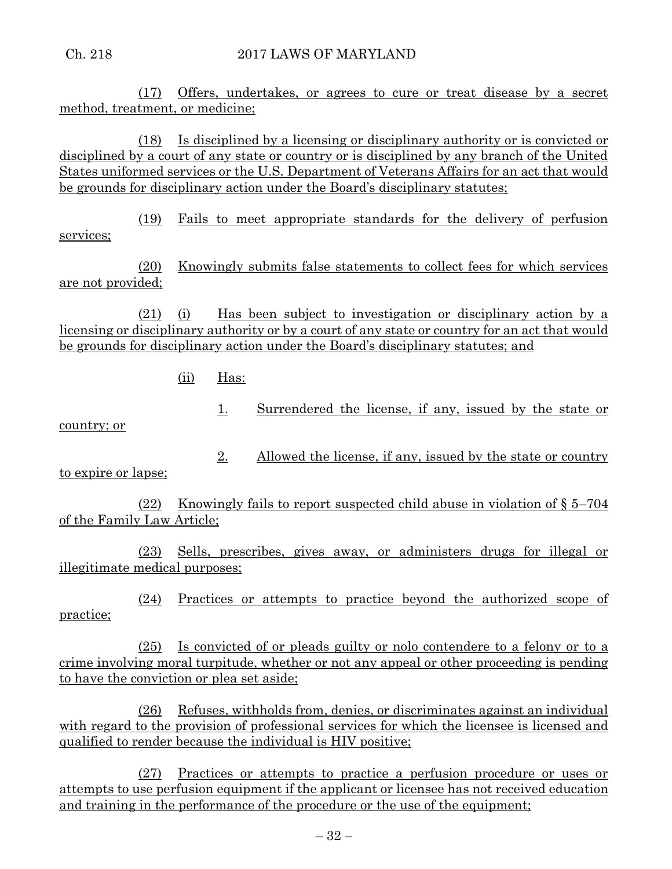(17) Offers, undertakes, or agrees to cure or treat disease by a secret method, treatment, or medicine;

(18) Is disciplined by a licensing or disciplinary authority or is convicted or disciplined by a court of any state or country or is disciplined by any branch of the United States uniformed services or the U.S. Department of Veterans Affairs for an act that would be grounds for disciplinary action under the Board's disciplinary statutes;

(19) Fails to meet appropriate standards for the delivery of perfusion services;

(20) Knowingly submits false statements to collect fees for which services are not provided;

(21) (i) Has been subject to investigation or disciplinary action by a licensing or disciplinary authority or by a court of any state or country for an act that would be grounds for disciplinary action under the Board's disciplinary statutes; and

(ii) Has:

1. Surrendered the license, if any, issued by the state or

country; or

2. Allowed the license, if any, issued by the state or country

to expire or lapse;

(22) Knowingly fails to report suspected child abuse in violation of  $\S 5-704$ of the Family Law Article;

(23) Sells, prescribes, gives away, or administers drugs for illegal or illegitimate medical purposes;

(24) Practices or attempts to practice beyond the authorized scope of practice;

(25) Is convicted of or pleads guilty or nolo contendere to a felony or to a crime involving moral turpitude, whether or not any appeal or other proceeding is pending to have the conviction or plea set aside;

(26) Refuses, withholds from, denies, or discriminates against an individual with regard to the provision of professional services for which the licensee is licensed and qualified to render because the individual is HIV positive;

(27) Practices or attempts to practice a perfusion procedure or uses or attempts to use perfusion equipment if the applicant or licensee has not received education and training in the performance of the procedure or the use of the equipment;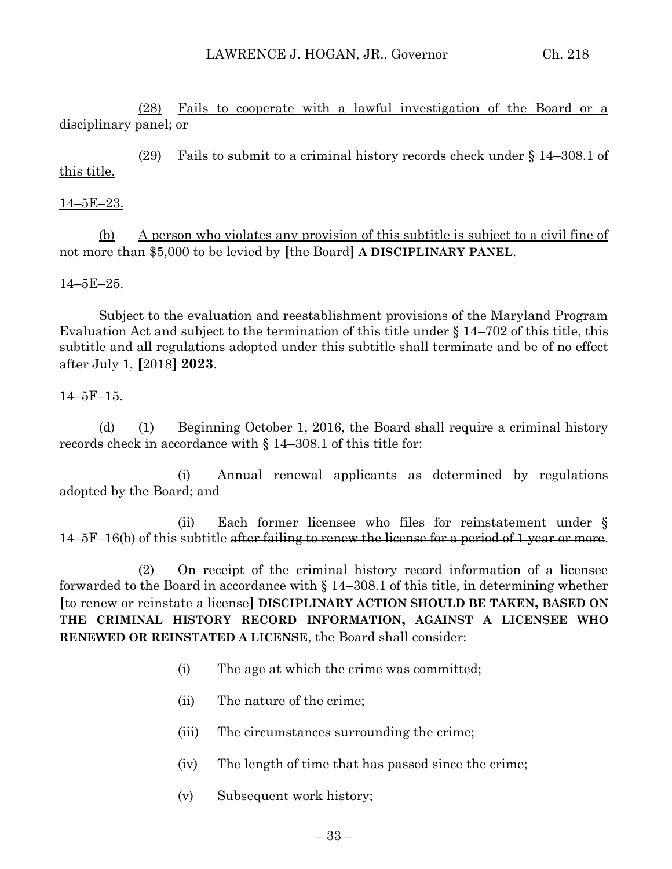(28) Fails to cooperate with a lawful investigation of the Board or a disciplinary panel; or

(29) Fails to submit to a criminal history records check under § 14–308.1 of this title.

## $14-5E-23.$

(b) A person who violates any provision of this subtitle is subject to a civil fine of not more than \$5,000 to be levied by **[**the Board**] A DISCIPLINARY PANEL**.

14–5E–25.

Subject to the evaluation and reestablishment provisions of the Maryland Program Evaluation Act and subject to the termination of this title under § 14–702 of this title, this subtitle and all regulations adopted under this subtitle shall terminate and be of no effect after July 1, **[**2018**] 2023**.

#### 14–5F–15.

(d) (1) Beginning October 1, 2016, the Board shall require a criminal history records check in accordance with § 14–308.1 of this title for:

(i) Annual renewal applicants as determined by regulations adopted by the Board; and

(ii) Each former licensee who files for reinstatement under § 14–5F–16(b) of this subtitle after failing to renew the license for a period of 1 year or more.

(2) On receipt of the criminal history record information of a licensee forwarded to the Board in accordance with § 14–308.1 of this title, in determining whether **[**to renew or reinstate a license**] DISCIPLINARY ACTION SHOULD BE TAKEN, BASED ON THE CRIMINAL HISTORY RECORD INFORMATION, AGAINST A LICENSEE WHO RENEWED OR REINSTATED A LICENSE**, the Board shall consider:

- (i) The age at which the crime was committed;
- (ii) The nature of the crime;
- (iii) The circumstances surrounding the crime;
- (iv) The length of time that has passed since the crime;
- (v) Subsequent work history;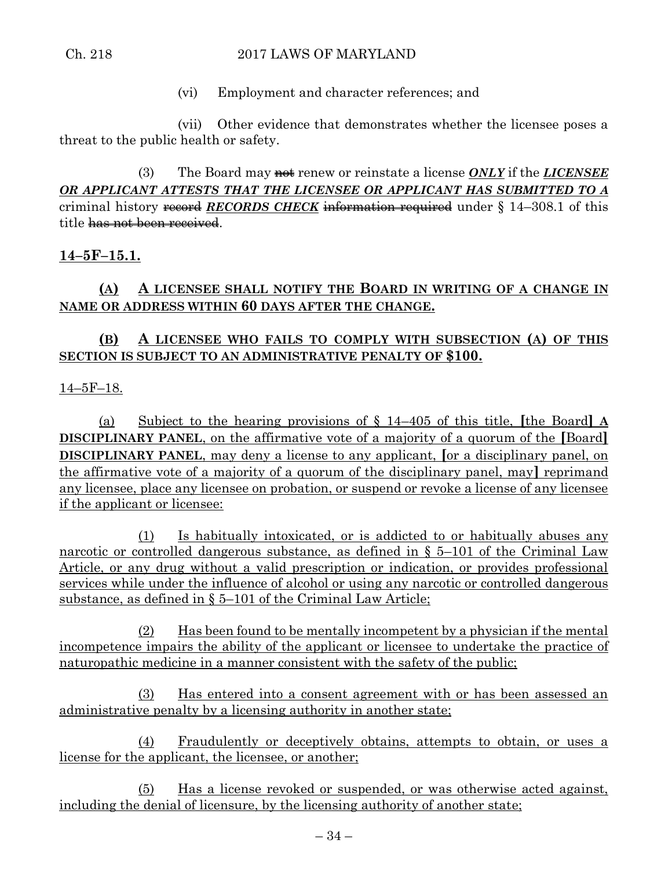## Ch. 218 2017 LAWS OF MARYLAND

(vi) Employment and character references; and

(vii) Other evidence that demonstrates whether the licensee poses a threat to the public health or safety.

(3) The Board may not renew or reinstate a license *ONLY* if the *LICENSEE OR APPLICANT ATTESTS THAT THE LICENSEE OR APPLICANT HAS SUBMITTED TO A* criminal history record *RECORDS CHECK* information required under § 14–308.1 of this title has not been received.

# **14–5F–15.1.**

# **(A) A LICENSEE SHALL NOTIFY THE BOARD IN WRITING OF A CHANGE IN NAME OR ADDRESS WITHIN 60 DAYS AFTER THE CHANGE.**

# **(B) A LICENSEE WHO FAILS TO COMPLY WITH SUBSECTION (A) OF THIS SECTION IS SUBJECT TO AN ADMINISTRATIVE PENALTY OF \$100.**

14–5F–18.

(a) Subject to the hearing provisions of § 14–405 of this title, **[**the Board**] A DISCIPLINARY PANEL**, on the affirmative vote of a majority of a quorum of the **[**Board**] DISCIPLINARY PANEL**, may deny a license to any applicant, **[**or a disciplinary panel, on the affirmative vote of a majority of a quorum of the disciplinary panel, may**]** reprimand any licensee, place any licensee on probation, or suspend or revoke a license of any licensee if the applicant or licensee:

(1) Is habitually intoxicated, or is addicted to or habitually abuses any narcotic or controlled dangerous substance, as defined in § 5–101 of the Criminal Law Article, or any drug without a valid prescription or indication, or provides professional services while under the influence of alcohol or using any narcotic or controlled dangerous substance, as defined in § 5–101 of the Criminal Law Article;

(2) Has been found to be mentally incompetent by a physician if the mental incompetence impairs the ability of the applicant or licensee to undertake the practice of naturopathic medicine in a manner consistent with the safety of the public;

(3) Has entered into a consent agreement with or has been assessed an administrative penalty by a licensing authority in another state;

(4) Fraudulently or deceptively obtains, attempts to obtain, or uses a license for the applicant, the licensee, or another;

(5) Has a license revoked or suspended, or was otherwise acted against, including the denial of licensure, by the licensing authority of another state;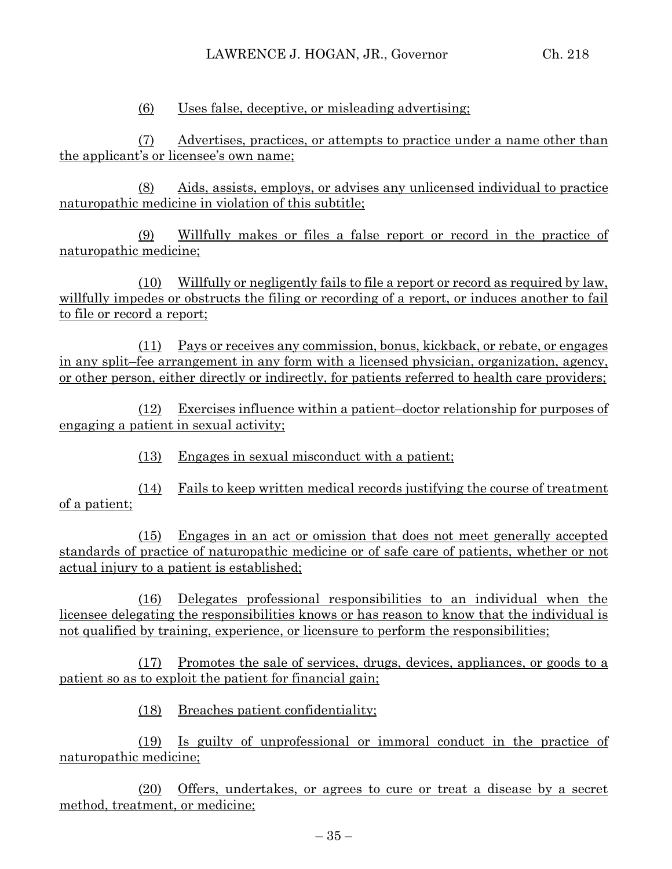(6) Uses false, deceptive, or misleading advertising;

(7) Advertises, practices, or attempts to practice under a name other than the applicant's or licensee's own name;

(8) Aids, assists, employs, or advises any unlicensed individual to practice naturopathic medicine in violation of this subtitle;

(9) Willfully makes or files a false report or record in the practice of naturopathic medicine;

(10) Willfully or negligently fails to file a report or record as required by law, willfully impedes or obstructs the filing or recording of a report, or induces another to fail to file or record a report;

(11) Pays or receives any commission, bonus, kickback, or rebate, or engages in any split–fee arrangement in any form with a licensed physician, organization, agency, or other person, either directly or indirectly, for patients referred to health care providers;

(12) Exercises influence within a patient–doctor relationship for purposes of engaging a patient in sexual activity;

(13) Engages in sexual misconduct with a patient;

(14) Fails to keep written medical records justifying the course of treatment of a patient;

(15) Engages in an act or omission that does not meet generally accepted standards of practice of naturopathic medicine or of safe care of patients, whether or not actual injury to a patient is established;

(16) Delegates professional responsibilities to an individual when the licensee delegating the responsibilities knows or has reason to know that the individual is not qualified by training, experience, or licensure to perform the responsibilities;

(17) Promotes the sale of services, drugs, devices, appliances, or goods to a patient so as to exploit the patient for financial gain;

(18) Breaches patient confidentiality;

(19) Is guilty of unprofessional or immoral conduct in the practice of naturopathic medicine;

(20) Offers, undertakes, or agrees to cure or treat a disease by a secret method, treatment, or medicine;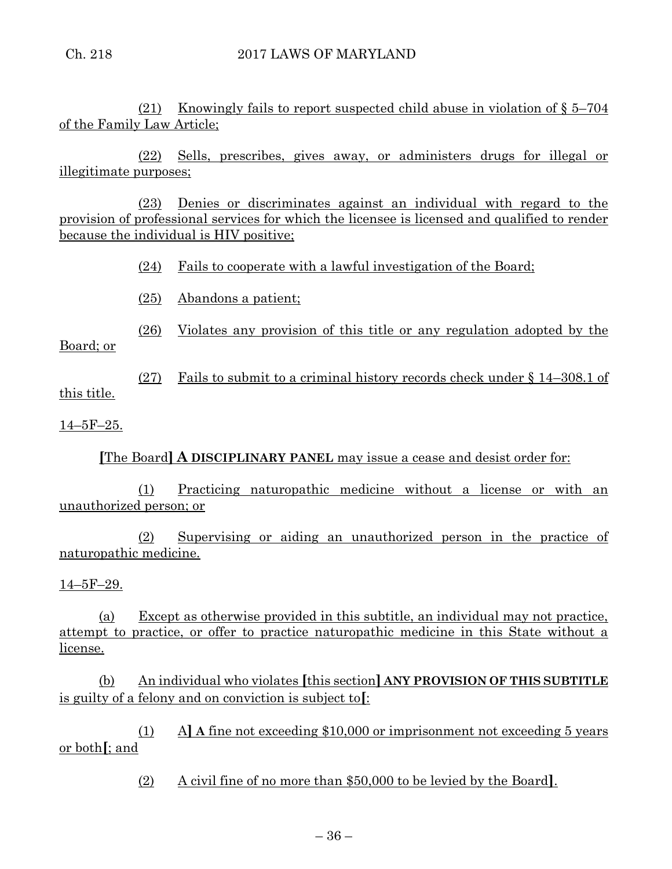(21) Knowingly fails to report suspected child abuse in violation of  $\S 5-704$ of the Family Law Article;

(22) Sells, prescribes, gives away, or administers drugs for illegal or illegitimate purposes;

(23) Denies or discriminates against an individual with regard to the provision of professional services for which the licensee is licensed and qualified to render because the individual is HIV positive;

(24) Fails to cooperate with a lawful investigation of the Board;

(25) Abandons a patient;

(26) Violates any provision of this title or any regulation adopted by the Board; or

(27) Fails to submit to a criminal history records check under § 14–308.1 of this title.

14–5F–25.

**[**The Board**] A DISCIPLINARY PANEL** may issue a cease and desist order for:

(1) Practicing naturopathic medicine without a license or with an unauthorized person; or

(2) Supervising or aiding an unauthorized person in the practice of naturopathic medicine.

14–5F–29.

(a) Except as otherwise provided in this subtitle, an individual may not practice, attempt to practice, or offer to practice naturopathic medicine in this State without a license.

(b) An individual who violates **[**this section**] ANY PROVISION OF THIS SUBTITLE** is guilty of a felony and on conviction is subject to**[**:

(1) A**] A** fine not exceeding \$10,000 or imprisonment not exceeding 5 years or both**[**; and

(2) A civil fine of no more than \$50,000 to be levied by the Board**]**.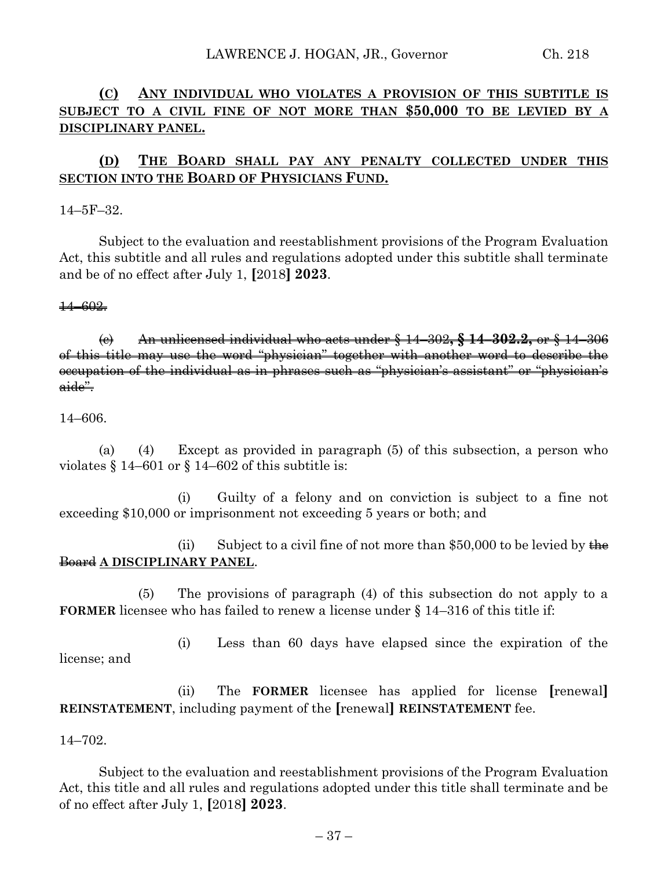# **(C) ANY INDIVIDUAL WHO VIOLATES A PROVISION OF THIS SUBTITLE IS SUBJECT TO A CIVIL FINE OF NOT MORE THAN \$50,000 TO BE LEVIED BY A DISCIPLINARY PANEL.**

# **(D) THE BOARD SHALL PAY ANY PENALTY COLLECTED UNDER THIS SECTION INTO THE BOARD OF PHYSICIANS FUND.**

14–5F–32.

Subject to the evaluation and reestablishment provisions of the Program Evaluation Act, this subtitle and all rules and regulations adopted under this subtitle shall terminate and be of no effect after July 1, **[**2018**] 2023**.

14–602.

(c) An unlicensed individual who acts under § 14–302**, § 14–302.2,** or § 14–306 of this title may use the word "physician" together with another word to describe the occupation of the individual as in phrases such as "physician's assistant" or "physician's aide".

14–606.

(a) (4) Except as provided in paragraph (5) of this subsection, a person who violates § 14–601 or § 14–602 of this subtitle is:

(i) Guilty of a felony and on conviction is subject to a fine not exceeding \$10,000 or imprisonment not exceeding 5 years or both; and

(ii) Subject to a civil fine of not more than \$50,000 to be levied by the Board **A DISCIPLINARY PANEL**.

(5) The provisions of paragraph (4) of this subsection do not apply to a **FORMER** licensee who has failed to renew a license under § 14–316 of this title if:

(i) Less than 60 days have elapsed since the expiration of the license; and

(ii) The **FORMER** licensee has applied for license **[**renewal**] REINSTATEMENT**, including payment of the **[**renewal**] REINSTATEMENT** fee.

14–702.

Subject to the evaluation and reestablishment provisions of the Program Evaluation Act, this title and all rules and regulations adopted under this title shall terminate and be of no effect after July 1, **[**2018**] 2023**.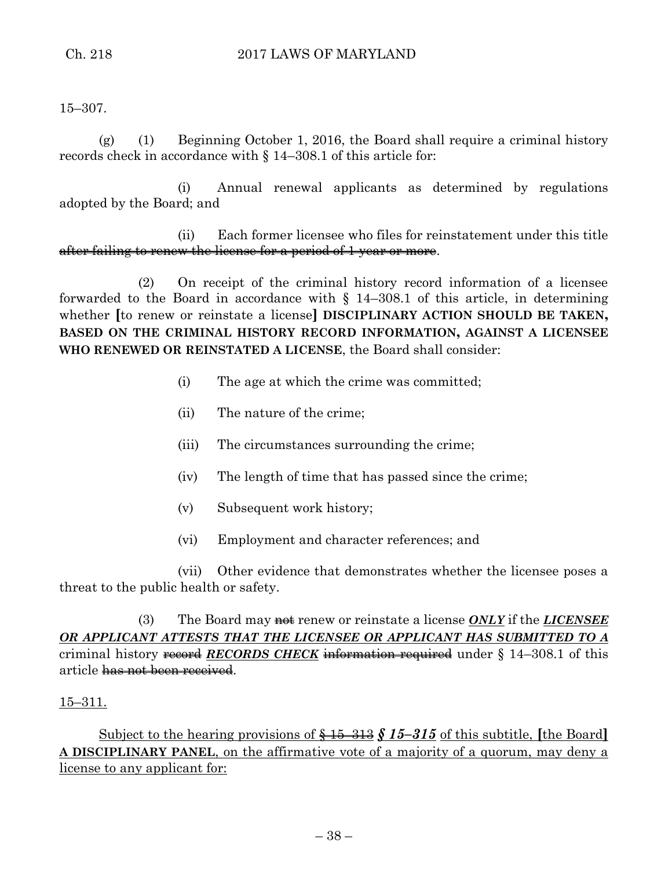15–307.

(g) (1) Beginning October 1, 2016, the Board shall require a criminal history records check in accordance with § 14–308.1 of this article for:

(i) Annual renewal applicants as determined by regulations adopted by the Board; and

(ii) Each former licensee who files for reinstatement under this title after failing to renew the license for a period of 1 year or more.

(2) On receipt of the criminal history record information of a licensee forwarded to the Board in accordance with  $\S$  14–308.1 of this article, in determining whether **[**to renew or reinstate a license**] DISCIPLINARY ACTION SHOULD BE TAKEN, BASED ON THE CRIMINAL HISTORY RECORD INFORMATION, AGAINST A LICENSEE WHO RENEWED OR REINSTATED A LICENSE**, the Board shall consider:

- (i) The age at which the crime was committed;
- (ii) The nature of the crime;
- (iii) The circumstances surrounding the crime;
- (iv) The length of time that has passed since the crime;
- (v) Subsequent work history;
- (vi) Employment and character references; and

(vii) Other evidence that demonstrates whether the licensee poses a threat to the public health or safety.

(3) The Board may **not** renew or reinstate a license *ONLY* if the *LICENSEE OR APPLICANT ATTESTS THAT THE LICENSEE OR APPLICANT HAS SUBMITTED TO A* criminal history record *RECORDS CHECK* information required under § 14–308.1 of this article has not been received.

## 15–311.

Subject to the hearing provisions of § 15–313 *§ 15–315* of this subtitle, **[**the Board**] A DISCIPLINARY PANEL**, on the affirmative vote of a majority of a quorum, may deny a license to any applicant for: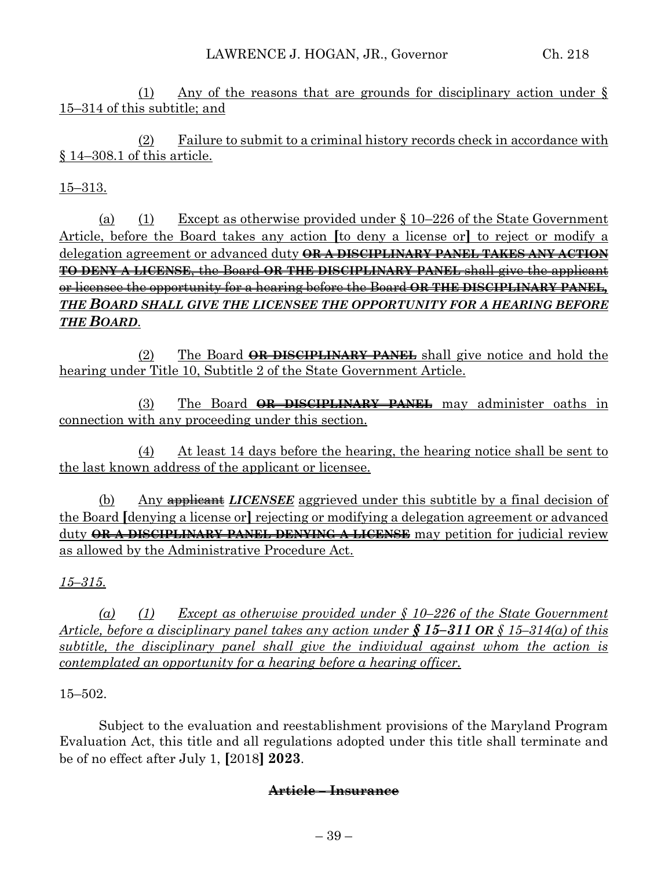(1) Any of the reasons that are grounds for disciplinary action under § 15–314 of this subtitle; and

(2) Failure to submit to a criminal history records check in accordance with § 14–308.1 of this article.

# 15–313.

(a) (1) Except as otherwise provided under  $\S 10-226$  of the State Government Article, before the Board takes any action **[**to deny a license or**]** to reject or modify a delegation agreement or advanced duty **OR A DISCIPLINARY PANEL TAKES ANY ACTION TO DENY A LICENSE**, the Board **OR THE DISCIPLINARY PANEL** shall give the applicant or licensee the opportunity for a hearing before the Board **OR THE DISCIPLINARY PANEL***, THE BOARD SHALL GIVE THE LICENSEE THE OPPORTUNITY FOR A HEARING BEFORE THE BOARD*.

(2) The Board **OR DISCIPLINARY PANEL** shall give notice and hold the hearing under Title 10, Subtitle 2 of the State Government Article.

(3) The Board **OR DISCIPLINARY PANEL** may administer oaths in connection with any proceeding under this section.

(4) At least 14 days before the hearing, the hearing notice shall be sent to the last known address of the applicant or licensee.

(b) Any applicant *LICENSEE* aggrieved under this subtitle by a final decision of the Board **[**denying a license or**]** rejecting or modifying a delegation agreement or advanced duty **OR A DISCIPLINARY PANEL DENYING A LICENSE** may petition for judicial review as allowed by the Administrative Procedure Act.

## *15–315.*

*(a) (1) Except as otherwise provided under § 10–226 of the State Government Article, before a disciplinary panel takes any action under § 15–311 OR § 15–314(a) of this subtitle, the disciplinary panel shall give the individual against whom the action is contemplated an opportunity for a hearing before a hearing officer.*

## 15–502.

Subject to the evaluation and reestablishment provisions of the Maryland Program Evaluation Act, this title and all regulations adopted under this title shall terminate and be of no effect after July 1, **[**2018**] 2023**.

## **Article – Insurance**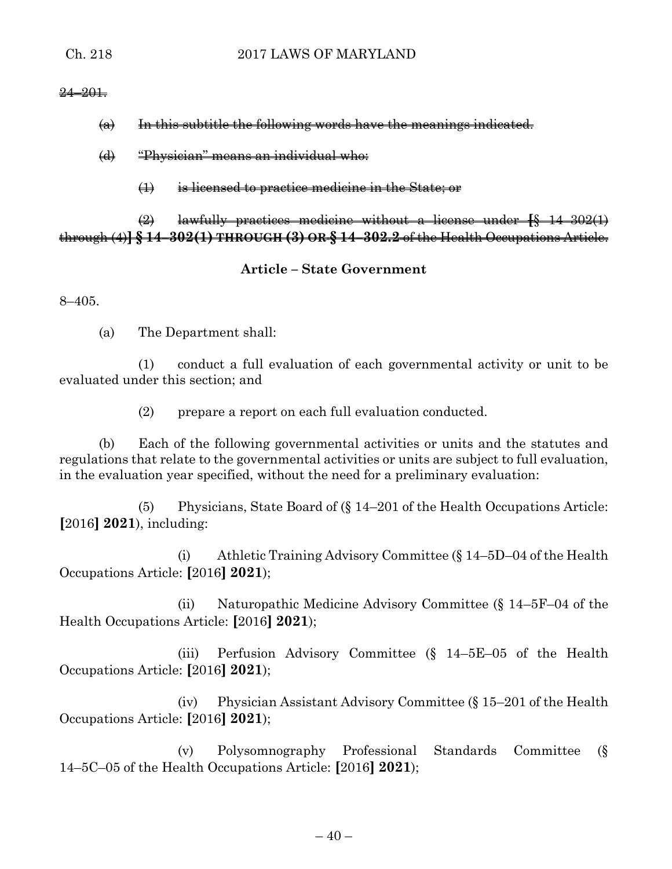#### $24 - 201$ .

- $\omega$  In this subtitle the following words have the meanings indicated.
- (d) "Physician" means an individual who:
	- (1) is licensed to practice medicine in the State; or

(2) lawfully practices medicine without a license under **[**§ 14–302(1) through (4)**] § 14–302(1) THROUGH (3) OR § 14–302.2** of the Health Occupations Article.

**Article – State Government**

8–405.

(a) The Department shall:

(1) conduct a full evaluation of each governmental activity or unit to be evaluated under this section; and

(2) prepare a report on each full evaluation conducted.

(b) Each of the following governmental activities or units and the statutes and regulations that relate to the governmental activities or units are subject to full evaluation, in the evaluation year specified, without the need for a preliminary evaluation:

(5) Physicians, State Board of (§ 14–201 of the Health Occupations Article: **[**2016**] 2021**), including:

(i) Athletic Training Advisory Committee (§ 14–5D–04 of the Health Occupations Article: **[**2016**] 2021**);

(ii) Naturopathic Medicine Advisory Committee (§ 14–5F–04 of the Health Occupations Article: **[**2016**] 2021**);

(iii) Perfusion Advisory Committee (§ 14–5E–05 of the Health Occupations Article: **[**2016**] 2021**);

(iv) Physician Assistant Advisory Committee (§ 15–201 of the Health Occupations Article: **[**2016**] 2021**);

(v) Polysomnography Professional Standards Committee (§ 14–5C–05 of the Health Occupations Article: **[**2016**] 2021**);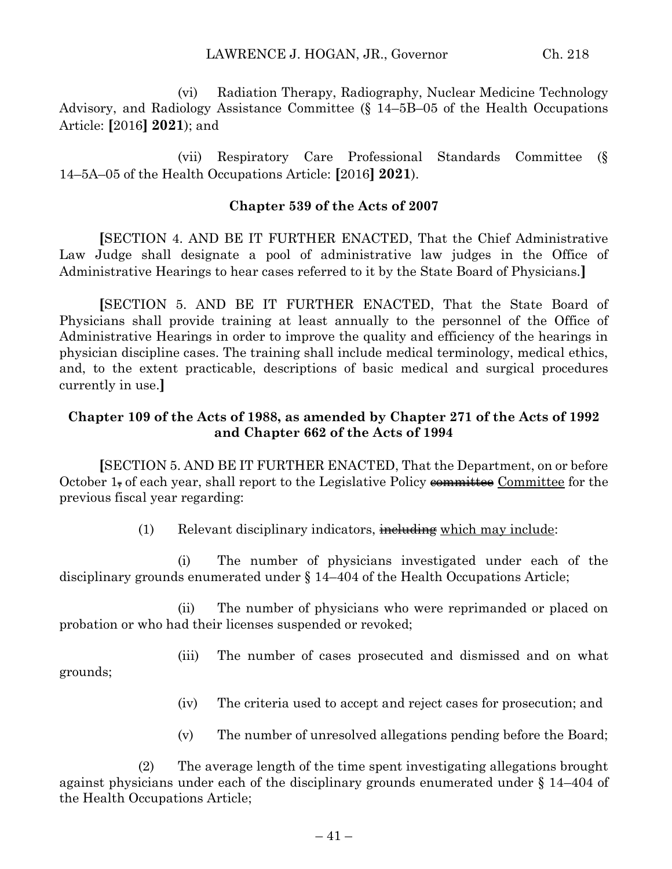(vi) Radiation Therapy, Radiography, Nuclear Medicine Technology Advisory, and Radiology Assistance Committee (§ 14–5B–05 of the Health Occupations Article: **[**2016**] 2021**); and

(vii) Respiratory Care Professional Standards Committee (§ 14–5A–05 of the Health Occupations Article: **[**2016**] 2021**).

## **Chapter 539 of the Acts of 2007**

**[**SECTION 4. AND BE IT FURTHER ENACTED, That the Chief Administrative Law Judge shall designate a pool of administrative law judges in the Office of Administrative Hearings to hear cases referred to it by the State Board of Physicians.**]**

**[**SECTION 5. AND BE IT FURTHER ENACTED, That the State Board of Physicians shall provide training at least annually to the personnel of the Office of Administrative Hearings in order to improve the quality and efficiency of the hearings in physician discipline cases. The training shall include medical terminology, medical ethics, and, to the extent practicable, descriptions of basic medical and surgical procedures currently in use.**]**

## **Chapter 109 of the Acts of 1988, as amended by Chapter 271 of the Acts of 1992 and Chapter 662 of the Acts of 1994**

**[**SECTION 5. AND BE IT FURTHER ENACTED, That the Department, on or before October 1, of each year, shall report to the Legislative Policy committee Committee for the previous fiscal year regarding:

 $(1)$  Relevant disciplinary indicators, including which may include:

(i) The number of physicians investigated under each of the disciplinary grounds enumerated under § 14–404 of the Health Occupations Article;

(ii) The number of physicians who were reprimanded or placed on probation or who had their licenses suspended or revoked;

(iii) The number of cases prosecuted and dismissed and on what grounds;

(iv) The criteria used to accept and reject cases for prosecution; and

(v) The number of unresolved allegations pending before the Board;

(2) The average length of the time spent investigating allegations brought against physicians under each of the disciplinary grounds enumerated under § 14–404 of the Health Occupations Article;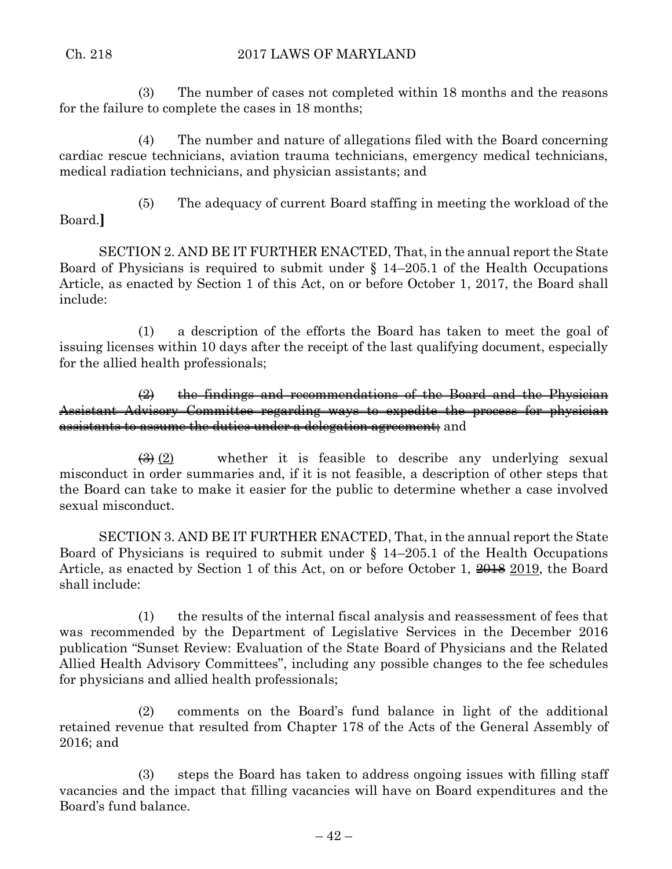(3) The number of cases not completed within 18 months and the reasons for the failure to complete the cases in 18 months;

(4) The number and nature of allegations filed with the Board concerning cardiac rescue technicians, aviation trauma technicians, emergency medical technicians, medical radiation technicians, and physician assistants; and

- Board.**]**
- (5) The adequacy of current Board staffing in meeting the workload of the

SECTION 2. AND BE IT FURTHER ENACTED, That, in the annual report the State Board of Physicians is required to submit under § 14–205.1 of the Health Occupations Article, as enacted by Section 1 of this Act, on or before October 1, 2017, the Board shall include:

(1) a description of the efforts the Board has taken to meet the goal of issuing licenses within 10 days after the receipt of the last qualifying document, especially for the allied health professionals;

 $\left( 2\right)$  the findings and recommendations of the Board and the Physician Assistant Advisory Committee regarding ways to expedite the process for physician assistants to assume the duties under a delegation agreement; and

 $\left(\frac{3}{2}\right)$  whether it is feasible to describe any underlying sexual misconduct in order summaries and, if it is not feasible, a description of other steps that the Board can take to make it easier for the public to determine whether a case involved sexual misconduct.

SECTION 3. AND BE IT FURTHER ENACTED, That, in the annual report the State Board of Physicians is required to submit under § 14–205.1 of the Health Occupations Article, as enacted by Section 1 of this Act, on or before October 1, 2018 2019, the Board shall include:

(1) the results of the internal fiscal analysis and reassessment of fees that was recommended by the Department of Legislative Services in the December 2016 publication "Sunset Review: Evaluation of the State Board of Physicians and the Related Allied Health Advisory Committees", including any possible changes to the fee schedules for physicians and allied health professionals;

(2) comments on the Board's fund balance in light of the additional retained revenue that resulted from Chapter 178 of the Acts of the General Assembly of 2016; and

(3) steps the Board has taken to address ongoing issues with filling staff vacancies and the impact that filling vacancies will have on Board expenditures and the Board's fund balance.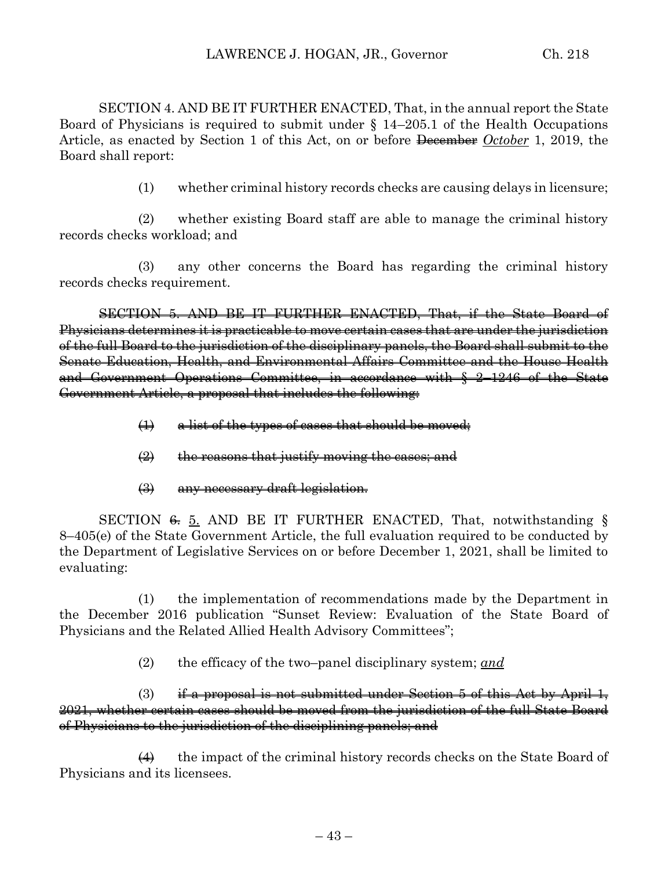SECTION 4. AND BE IT FURTHER ENACTED, That, in the annual report the State Board of Physicians is required to submit under § 14–205.1 of the Health Occupations Article, as enacted by Section 1 of this Act, on or before December *October* 1, 2019, the Board shall report:

(1) whether criminal history records checks are causing delays in licensure;

(2) whether existing Board staff are able to manage the criminal history records checks workload; and

(3) any other concerns the Board has regarding the criminal history records checks requirement.

SECTION 5. AND BE IT FURTHER ENACTED, That, if the State Board of Physicians determines it is practicable to move certain cases that are under the jurisdiction of the full Board to the jurisdiction of the disciplinary panels, the Board shall submit to the Senate Education, Health, and Environmental Affairs Committee and the House Health and Government Operations Committee, in accordance with § 2–1246 of the State Government Article, a proposal that includes the following:

- (1) a list of the types of cases that should be moved;
- $\left(\frac{1}{2}\right)$  the reasons that justify moving the cases; and
- (3) any necessary draft legislation.

SECTION  $\epsilon$ , 5. AND BE IT FURTHER ENACTED, That, notwithstanding § 8–405(e) of the State Government Article, the full evaluation required to be conducted by the Department of Legislative Services on or before December 1, 2021, shall be limited to evaluating:

(1) the implementation of recommendations made by the Department in the December 2016 publication "Sunset Review: Evaluation of the State Board of Physicians and the Related Allied Health Advisory Committees";

(2) the efficacy of the two–panel disciplinary system; *and*

(3) if a proposal is not submitted under Section 5 of this Act by April 1, 2021, whether certain cases should be moved from the jurisdiction of the full State Board of Physicians to the jurisdiction of the disciplining panels; and

 $\leftrightarrow$  the impact of the criminal history records checks on the State Board of Physicians and its licensees.